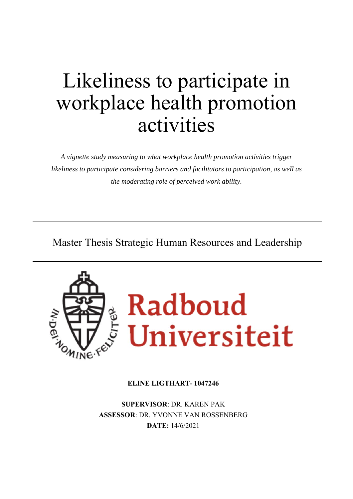# Likeliness to participate in workplace health promotion activities

*A vignette study measuring to what workplace health promotion activities trigger likeliness to participate considering barriers and facilitators to participation, as well as the moderating role of perceived work ability.* 

Master Thesis Strategic Human Resources and Leadership



## **ELINE LIGTHART- 1047246**

**SUPERVISOR**: DR. KAREN PAK **ASSESSOR**: DR. YVONNE VAN ROSSENBERG **DATE:** 14/6/2021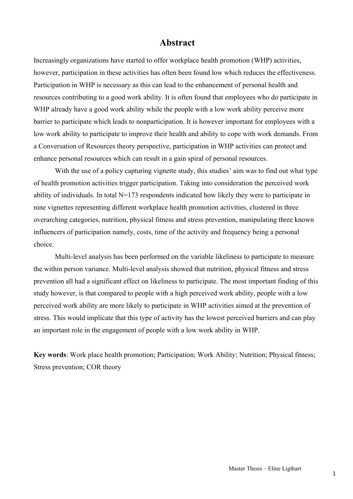## **Abstract**

Increasingly organizations have started to offer workplace health promotion (WHP) activities, however, participation in these activities has often been found low which reduces the effectiveness. Participation in WHP is necessary as this can lead to the enhancement of personal health and resources contributing to a good work ability. It is often found that employees who do participate in WHP already have a good work ability while the people with a low work ability perceive more barrier to participate which leads to nonparticipation. It is however important for employees with a low work ability to participate to improve their health and ability to cope with work demands. From a Conversation of Resources theory perspective, participation in WHP activities can protect and enhance personal resources which can result in a gain spiral of personal resources.

With the use of a policy capturing vignette study, this studies' aim was to find out what type of health promotion activities trigger participation. Taking into consideration the perceived work ability of individuals. In total N=173 respondents indicated how likely they were to participate in nine vignettes representing different workplace health promotion activities, clustered in three overarching categories, nutrition, physical fitness and stress prevention, manipulating three known influencers of participation namely, costs, time of the activity and frequency being a personal choice.

Multi-level analysis has been performed on the variable likeliness to participate to measure the within person variance. Multi-level analysis showed that nutrition, physical fitness and stress prevention all had a significant effect on likeliness to participate. The most important finding of this study however, is that compared to people with a high perceived work ability, people with a low perceived work ability are more likely to participate in WHP activities aimed at the prevention of stress. This would implicate that this type of activity has the lowest perceived barriers and can play an important role in the engagement of people with a low work ability in WHP.

**Key words**: Work place health promotion; Participation; Work Ability; Nutrition; Physical fitness; Stress prevention; COR theory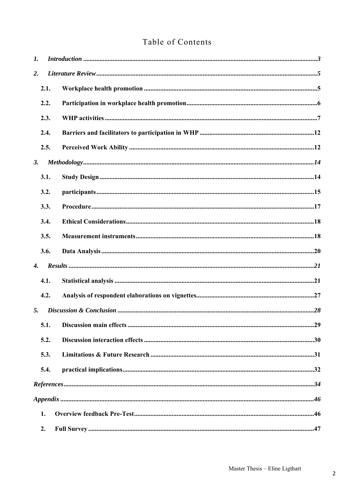## Table of Contents

| $\mathbf{I}$ .     |      |  |
|--------------------|------|--|
| 2.                 |      |  |
|                    | 2.1. |  |
|                    | 2.2. |  |
|                    | 2.3. |  |
|                    | 2.4. |  |
|                    | 2.5. |  |
| 3.                 |      |  |
|                    | 3.1. |  |
|                    | 3.2. |  |
|                    | 3.3. |  |
|                    | 3.4. |  |
|                    | 3.5. |  |
|                    | 3.6. |  |
| $\boldsymbol{4}$ . |      |  |
|                    | 4.1. |  |
|                    | 4.2. |  |
| 5.                 |      |  |
|                    | 5.1. |  |
|                    | 5.2. |  |
|                    | 5.3. |  |
|                    | 5.4. |  |
|                    |      |  |
|                    |      |  |
|                    | 1.   |  |
|                    | 2.   |  |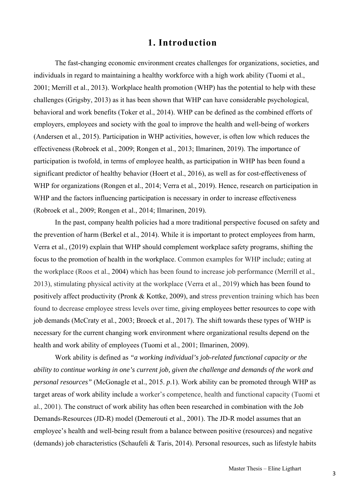## **1. Introduction**

The fast-changing economic environment creates challenges for organizations, societies, and individuals in regard to maintaining a healthy workforce with a high work ability (Tuomi et al., 2001; Merrill et al., 2013). Workplace health promotion (WHP) has the potential to help with these challenges (Grigsby, 2013) as it has been shown that WHP can have considerable psychological, behavioral and work benefits (Toker et al., 2014). WHP can be defined as the combined efforts of employers, employees and society with the goal to improve the health and well-being of workers (Andersen et al., 2015). Participation in WHP activities, however, is often low which reduces the effectiveness (Robroek et al., 2009; Rongen et al., 2013; Ilmarinen, 2019). The importance of participation is twofold, in terms of employee health, as participation in WHP has been found a significant predictor of healthy behavior (Hoert et al., 2016), as well as for cost-effectiveness of WHP for organizations (Rongen et al., 2014; Verra et al., 2019). Hence, research on participation in WHP and the factors influencing participation is necessary in order to increase effectiveness (Robroek et al., 2009; Rongen et al., 2014; Ilmarinen, 2019).

In the past, company health policies had a more traditional perspective focused on safety and the prevention of harm (Berkel et al., 2014). While it is important to protect employees from harm, Verra et al., (2019) explain that WHP should complement workplace safety programs, shifting the focus to the promotion of health in the workplace. Common examples for WHP include; eating at the workplace (Roos et al., 2004) which has been found to increase job performance (Merrill et al., 2013), stimulating physical activity at the workplace (Verra et al., 2019) which has been found to positively affect productivity (Pronk & Kottke, 2009), and stress prevention training which has been found to decrease employee stress levels over time, giving employees better resources to cope with job demands (McCraty et al., 2003; Broeck et al., 2017). The shift towards these types of WHP is necessary for the current changing work environment where organizational results depend on the health and work ability of employees (Tuomi et al., 2001; Ilmarinen, 2009).

Work ability is defined as *"a working individual's job-related functional capacity or the ability to continue working in one's current job, given the challenge and demands of the work and personal resources"* (McGonagle et al., 2015. *p*.1). Work ability can be promoted through WHP as target areas of work ability include a worker's competence, health and functional capacity (Tuomi et al., 2001). The construct of work ability has often been researched in combination with the Job Demands-Resources (JD-R) model (Demerouti et al., 2001). The JD-R model assumes that an employee's health and well-being result from a balance between positive (resources) and negative (demands) job characteristics (Schaufeli & Taris, 2014). Personal resources, such as lifestyle habits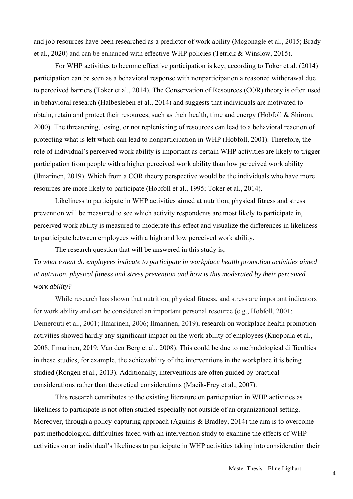and job resources have been researched as a predictor of work ability (Mcgonagle et al., 2015; Brady et al., 2020) and can be enhanced with effective WHP policies (Tetrick & Winslow, 2015).

For WHP activities to become effective participation is key, according to Toker et al. (2014) participation can be seen as a behavioral response with nonparticipation a reasoned withdrawal due to perceived barriers (Toker et al., 2014). The Conservation of Resources (COR) theory is often used in behavioral research (Halbesleben et al., 2014) and suggests that individuals are motivated to obtain, retain and protect their resources, such as their health, time and energy (Hobfoll & Shirom, 2000). The threatening, losing, or not replenishing of resources can lead to a behavioral reaction of protecting what is left which can lead to nonparticipation in WHP (Hobfoll, 2001). Therefore, the role of individual's perceived work ability is important as certain WHP activities are likely to trigger participation from people with a higher perceived work ability than low perceived work ability (Ilmarinen, 2019). Which from a COR theory perspective would be the individuals who have more resources are more likely to participate (Hobfoll et al., 1995; Toker et al., 2014).

Likeliness to participate in WHP activities aimed at nutrition, physical fitness and stress prevention will be measured to see which activity respondents are most likely to participate in, perceived work ability is measured to moderate this effect and visualize the differences in likeliness to participate between employees with a high and low perceived work ability.

The research question that will be answered in this study is; *To what extent do employees indicate to participate in workplace health promotion activities aimed at nutrition, physical fitness and stress prevention and how is this moderated by their perceived work ability?* 

While research has shown that nutrition, physical fitness, and stress are important indicators for work ability and can be considered an important personal resource (e.g., Hobfoll, 2001; Demerouti et al., 2001; Ilmarinen, 2006; Ilmarinen, 2019), research on workplace health promotion activities showed hardly any significant impact on the work ability of employees (Kuoppala et al., 2008; Ilmarinen, 2019; Van den Berg et al., 2008). This could be due to methodological difficulties in these studies, for example, the achievability of the interventions in the workplace it is being studied (Rongen et al., 2013). Additionally, interventions are often guided by practical considerations rather than theoretical considerations (Macik-Frey et al., 2007).

This research contributes to the existing literature on participation in WHP activities as likeliness to participate is not often studied especially not outside of an organizational setting. Moreover, through a policy-capturing approach (Aguinis & Bradley, 2014) the aim is to overcome past methodological difficulties faced with an intervention study to examine the effects of WHP activities on an individual's likeliness to participate in WHP activities taking into consideration their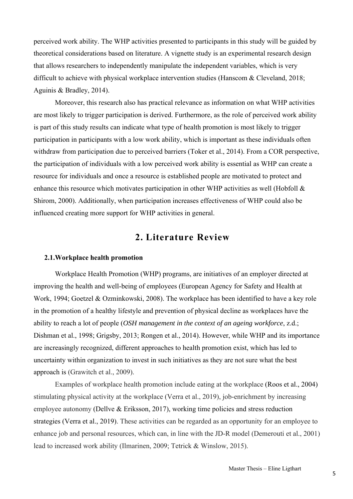perceived work ability. The WHP activities presented to participants in this study will be guided by theoretical considerations based on literature. A vignette study is an experimental research design that allows researchers to independently manipulate the independent variables, which is very difficult to achieve with physical workplace intervention studies (Hanscom & Cleveland, 2018; Aguinis & Bradley, 2014).

Moreover, this research also has practical relevance as information on what WHP activities are most likely to trigger participation is derived. Furthermore, as the role of perceived work ability is part of this study results can indicate what type of health promotion is most likely to trigger participation in participants with a low work ability, which is important as these individuals often withdraw from participation due to perceived barriers (Toker et al., 2014). From a COR perspective, the participation of individuals with a low perceived work ability is essential as WHP can create a resource for individuals and once a resource is established people are motivated to protect and enhance this resource which motivates participation in other WHP activities as well (Hobfoll & Shirom, 2000). Additionally, when participation increases effectiveness of WHP could also be influenced creating more support for WHP activities in general.

## **2. Literature Review**

## **2.1.Workplace health promotion**

Workplace Health Promotion (WHP) programs, are initiatives of an employer directed at improving the health and well-being of employees (European Agency for Safety and Health at Work, 1994; Goetzel & Ozminkowski, 2008). The workplace has been identified to have a key role in the promotion of a healthy lifestyle and prevention of physical decline as workplaces have the ability to reach a lot of people (*OSH management in the context of an ageing workforce*, z.d.; Dishman et al., 1998; Grigsby, 2013; Rongen et al., 2014). However, while WHP and its importance are increasingly recognized, different approaches to health promotion exist, which has led to uncertainty within organization to invest in such initiatives as they are not sure what the best approach is (Grawitch et al., 2009).

Examples of workplace health promotion include eating at the workplace (Roos et al., 2004) stimulating physical activity at the workplace (Verra et al., 2019), job-enrichment by increasing employee autonomy (Dellve & Eriksson, 2017), working time policies and stress reduction strategies (Verra et al., 2019). These activities can be regarded as an opportunity for an employee to enhance job and personal resources, which can, in line with the JD-R model (Demerouti et al., 2001) lead to increased work ability (Ilmarinen, 2009; Tetrick & Winslow, 2015).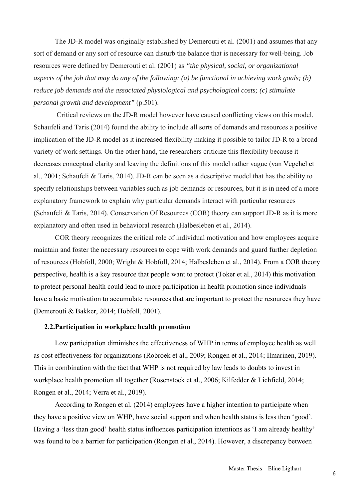The JD-R model was originally established by Demerouti et al. (2001) and assumes that any sort of demand or any sort of resource can disturb the balance that is necessary for well-being. Job resources were defined by Demerouti et al. (2001) as *"the physical, social, or organizational aspects of the job that may do any of the following: (a) be functional in achieving work goals; (b) reduce job demands and the associated physiological and psychological costs; (c) stimulate personal growth and development"* (p.501).

 Critical reviews on the JD-R model however have caused conflicting views on this model. Schaufeli and Taris (2014) found the ability to include all sorts of demands and resources a positive implication of the JD-R model as it increased flexibility making it possible to tailor JD-R to a broad variety of work settings. On the other hand, the researchers criticize this flexibility because it decreases conceptual clarity and leaving the definitions of this model rather vague (van Vegchel et al., 2001; Schaufeli & Taris, 2014). JD-R can be seen as a descriptive model that has the ability to specify relationships between variables such as job demands or resources, but it is in need of a more explanatory framework to explain why particular demands interact with particular resources (Schaufeli & Taris, 2014). Conservation Of Resources (COR) theory can support JD-R as it is more explanatory and often used in behavioral research (Halbesleben et al., 2014).

COR theory recognizes the critical role of individual motivation and how employees acquire maintain and foster the necessary resources to cope with work demands and guard further depletion of resources (Hobfoll, 2000; Wright & Hobfoll, 2014; Halbesleben et al., 2014). From a COR theory perspective, health is a key resource that people want to protect (Toker et al., 2014) this motivation to protect personal health could lead to more participation in health promotion since individuals have a basic motivation to accumulate resources that are important to protect the resources they have (Demerouti & Bakker, 2014; Hobfoll, 2001).

## **2.2.Participation in workplace health promotion**

 Low participation diminishes the effectiveness of WHP in terms of employee health as well as cost effectiveness for organizations (Robroek et al., 2009; Rongen et al., 2014; Ilmarinen, 2019). This in combination with the fact that WHP is not required by law leads to doubts to invest in workplace health promotion all together (Rosenstock et al., 2006; Kilfedder & Lichfield, 2014; Rongen et al., 2014; Verra et al., 2019).

According to Rongen et al. (2014) employees have a higher intention to participate when they have a positive view on WHP, have social support and when health status is less then 'good'. Having a 'less than good' health status influences participation intentions as 'I am already healthy' was found to be a barrier for participation (Rongen et al., 2014). However, a discrepancy between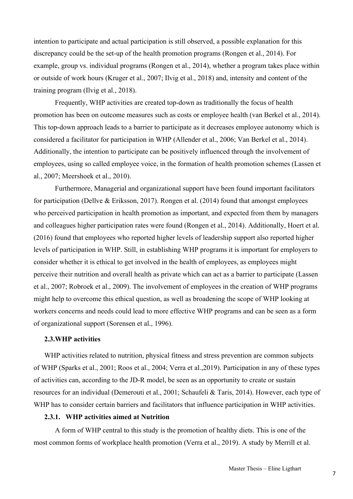intention to participate and actual participation is still observed, a possible explanation for this discrepancy could be the set-up of the health promotion programs (Rongen et al., 2014). For example, group vs. individual programs (Rongen et al., 2014), whether a program takes place within or outside of work hours (Kruger et al., 2007; Ilvig et al., 2018) and, intensity and content of the training program (Ilvig et al., 2018).

Frequently, WHP activities are created top-down as traditionally the focus of health promotion has been on outcome measures such as costs or employee health (van Berkel et al., 2014). This top-down approach leads to a barrier to participate as it decreases employee autonomy which is considered a facilitator for participation in WHP (Allender et al., 2006; Van Berkel et al., 2014). Additionally, the intention to participate can be positively influenced through the involvement of employees, using so called employee voice, in the formation of health promotion schemes (Lassen et al., 2007; Meershoek et al., 2010).

Furthermore, Managerial and organizational support have been found important facilitators for participation (Dellve & Eriksson, 2017). Rongen et al. (2014) found that amongst employees who perceived participation in health promotion as important, and expected from them by managers and colleagues higher participation rates were found (Rongen et al., 2014). Additionally, Hoert et al. (2016) found that employees who reported higher levels of leadership support also reported higher levels of participation in WHP. Still, in establishing WHP programs it is important for employers to consider whether it is ethical to get involved in the health of employees, as employees might perceive their nutrition and overall health as private which can act as a barrier to participate (Lassen et al., 2007; Robroek et al., 2009). The involvement of employees in the creation of WHP programs might help to overcome this ethical question, as well as broadening the scope of WHP looking at workers concerns and needs could lead to more effective WHP programs and can be seen as a form of organizational support (Sorensen et al., 1996).

#### **2.3.WHP activities**

WHP activities related to nutrition, physical fitness and stress prevention are common subjects of WHP (Sparks et al., 2001; Roos et al., 2004; Verra et al.,2019). Participation in any of these types of activities can, according to the JD-R model, be seen as an opportunity to create or sustain resources for an individual (Demerouti et al., 2001; Schaufeli & Taris, 2014). However, each type of WHP has to consider certain barriers and facilitators that influence participation in WHP activities.

## **2.3.1. WHP activities aimed at Nutrition**

A form of WHP central to this study is the promotion of healthy diets. This is one of the most common forms of workplace health promotion (Verra et al., 2019). A study by Merrill et al.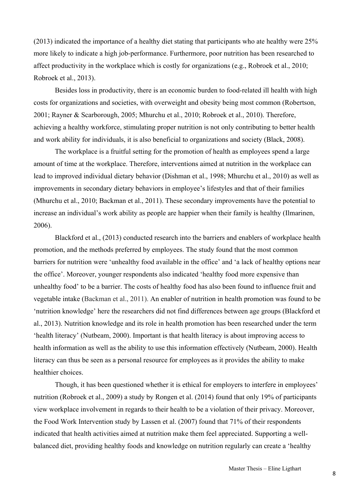(2013) indicated the importance of a healthy diet stating that participants who ate healthy were 25% more likely to indicate a high job-performance. Furthermore, poor nutrition has been researched to affect productivity in the workplace which is costly for organizations (e.g., Robroek et al., 2010; Robroek et al., 2013).

Besides loss in productivity, there is an economic burden to food-related ill health with high costs for organizations and societies, with overweight and obesity being most common (Robertson, 2001; Rayner & Scarborough, 2005; Mhurchu et al., 2010; Robroek et al., 2010). Therefore, achieving a healthy workforce, stimulating proper nutrition is not only contributing to better health and work ability for individuals, it is also beneficial to organizations and society (Black, 2008).

The workplace is a fruitful setting for the promotion of health as employees spend a large amount of time at the workplace. Therefore, interventions aimed at nutrition in the workplace can lead to improved individual dietary behavior (Dishman et al., 1998; Mhurchu et al., 2010) as well as improvements in secondary dietary behaviors in employee's lifestyles and that of their families (Mhurchu et al., 2010; Backman et al., 2011). These secondary improvements have the potential to increase an individual's work ability as people are happier when their family is healthy (Ilmarinen, 2006).

Blackford et al., (2013) conducted research into the barriers and enablers of workplace health promotion, and the methods preferred by employees. The study found that the most common barriers for nutrition were 'unhealthy food available in the office' and 'a lack of healthy options near the office'. Moreover, younger respondents also indicated 'healthy food more expensive than unhealthy food' to be a barrier. The costs of healthy food has also been found to influence fruit and vegetable intake (Backman et al., 2011). An enabler of nutrition in health promotion was found to be 'nutrition knowledge' here the researchers did not find differences between age groups (Blackford et al., 2013). Nutrition knowledge and its role in health promotion has been researched under the term 'health literacy' (Nutbeam, 2000). Important is that health literacy is about improving access to health information as well as the ability to use this information effectively (Nutbeam, 2000). Health literacy can thus be seen as a personal resource for employees as it provides the ability to make healthier choices.

Though, it has been questioned whether it is ethical for employers to interfere in employees' nutrition (Robroek et al., 2009) a study by Rongen et al. (2014) found that only 19% of participants view workplace involvement in regards to their health to be a violation of their privacy. Moreover, the Food Work Intervention study by Lassen et al. (2007) found that 71% of their respondents indicated that health activities aimed at nutrition make them feel appreciated. Supporting a wellbalanced diet, providing healthy foods and knowledge on nutrition regularly can create a 'healthy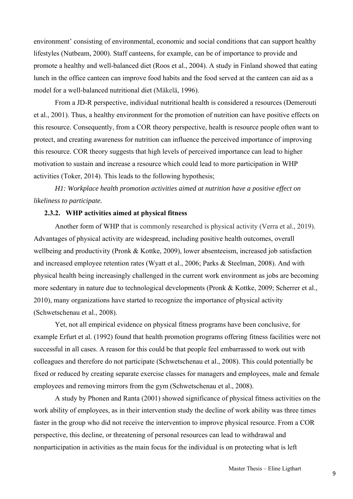environment' consisting of environmental, economic and social conditions that can support healthy lifestyles (Nutbeam, 2000). Staff canteens, for example, can be of importance to provide and promote a healthy and well-balanced diet (Roos et al., 2004). A study in Finland showed that eating lunch in the office canteen can improve food habits and the food served at the canteen can aid as a model for a well-balanced nutritional diet (Mäkelä, 1996).

From a JD-R perspective, individual nutritional health is considered a resources (Demerouti et al., 2001). Thus, a healthy environment for the promotion of nutrition can have positive effects on this resource. Consequently, from a COR theory perspective, health is resource people often want to protect, and creating awareness for nutrition can influence the perceived importance of improving this resource. COR theory suggests that high levels of perceived importance can lead to higher motivation to sustain and increase a resource which could lead to more participation in WHP activities (Toker, 2014). This leads to the following hypothesis;

*H1: Workplace health promotion activities aimed at nutrition have a positive effect on likeliness to participate.* 

## **2.3.2. WHP activities aimed at physical fitness**

Another form of WHP that is commonly researched is physical activity (Verra et al., 2019). Advantages of physical activity are widespread, including positive health outcomes, overall wellbeing and productivity (Pronk & Kottke, 2009), lower absenteeism, increased job satisfaction and increased employee retention rates (Wyatt et al., 2006; Parks & Steelman, 2008). And with physical health being increasingly challenged in the current work environment as jobs are becoming more sedentary in nature due to technological developments (Pronk & Kottke, 2009; Scherrer et al., 2010), many organizations have started to recognize the importance of physical activity (Schwetschenau et al., 2008).

Yet, not all empirical evidence on physical fitness programs have been conclusive, for example Erfurt et al. (1992) found that health promotion programs offering fitness facilities were not successful in all cases. A reason for this could be that people feel embarrassed to work out with colleagues and therefore do not participate (Schwetschenau et al., 2008). This could potentially be fixed or reduced by creating separate exercise classes for managers and employees, male and female employees and removing mirrors from the gym (Schwetschenau et al., 2008).

A study by Phonen and Ranta (2001) showed significance of physical fitness activities on the work ability of employees, as in their intervention study the decline of work ability was three times faster in the group who did not receive the intervention to improve physical resource. From a COR perspective, this decline, or threatening of personal resources can lead to withdrawal and nonparticipation in activities as the main focus for the individual is on protecting what is left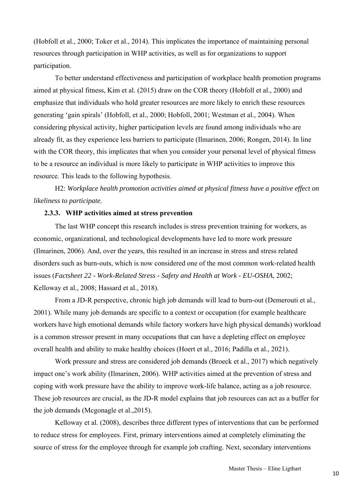(Hobfoll et al., 2000; Toker et al., 2014). This implicates the importance of maintaining personal resources through participation in WHP activities, as well as for organizations to support participation.

To better understand effectiveness and participation of workplace health promotion programs aimed at physical fitness, Kim et al. (2015) draw on the COR theory (Hobfoll et al., 2000) and emphasize that individuals who hold greater resources are more likely to enrich these resources generating 'gain spirals' (Hobfoll, et al., 2000; Hobfoll, 2001; Westman et al., 2004). When considering physical activity, higher participation levels are found among individuals who are already fit, as they experience less barriers to participate (Ilmarinen, 2006; Rongen, 2014). In line with the COR theory, this implicates that when you consider your personal level of physical fitness to be a resource an individual is more likely to participate in WHP activities to improve this resource. This leads to the following hypothesis.

H2: *Workplace health promotion activities aimed at physical fitness have a positive effect on likeliness to participate.*

## **2.3.3. WHP activities aimed at stress prevention**

The last WHP concept this research includes is stress prevention training for workers, as economic, organizational, and technological developments have led to more work pressure (Ilmarinen, 2006). And, over the years, this resulted in an increase in stress and stress related disorders such as burn-outs, which is now considered one of the most common work-related health issues (*Factsheet 22 - Work-Related Stress - Safety and Health at Work - EU-OSHA*, 2002; Kelloway et al., 2008; Hassard et al., 2018).

From a JD-R perspective, chronic high job demands will lead to burn-out (Demerouti et al., 2001). While many job demands are specific to a context or occupation (for example healthcare workers have high emotional demands while factory workers have high physical demands) workload is a common stressor present in many occupations that can have a depleting effect on employee overall health and ability to make healthy choices (Hoert et al., 2016; Padilla et al., 2021).

Work pressure and stress are considered job demands (Broeck et al., 2017) which negatively impact one's work ability (Ilmarinen, 2006). WHP activities aimed at the prevention of stress and coping with work pressure have the ability to improve work-life balance, acting as a job resource. These job resources are crucial, as the JD-R model explains that job resources can act as a buffer for the job demands (Mcgonagle et al.,2015).

 Kelloway et al. (2008), describes three different types of interventions that can be performed to reduce stress for employees. First, primary interventions aimed at completely eliminating the source of stress for the employee through for example job crafting. Next, secondary interventions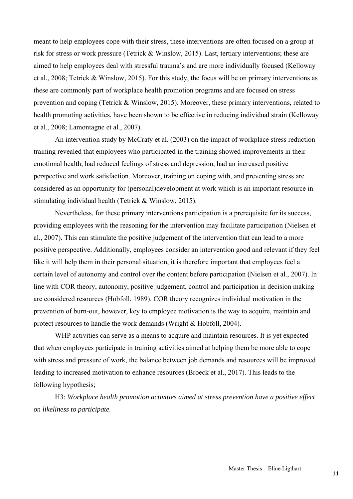meant to help employees cope with their stress, these interventions are often focused on a group at risk for stress or work pressure (Tetrick & Winslow, 2015). Last, tertiary interventions; these are aimed to help employees deal with stressful trauma's and are more individually focused (Kelloway et al., 2008; Tetrick & Winslow, 2015). For this study, the focus will be on primary interventions as these are commonly part of workplace health promotion programs and are focused on stress prevention and coping (Tetrick & Winslow, 2015). Moreover, these primary interventions, related to health promoting activities, have been shown to be effective in reducing individual strain (Kelloway et al., 2008; Lamontagne et al., 2007).

An intervention study by McCraty et al. (2003) on the impact of workplace stress reduction training revealed that employees who participated in the training showed improvements in their emotional health, had reduced feelings of stress and depression, had an increased positive perspective and work satisfaction. Moreover, training on coping with, and preventing stress are considered as an opportunity for (personal)development at work which is an important resource in stimulating individual health (Tetrick & Winslow, 2015).

Nevertheless, for these primary interventions participation is a prerequisite for its success, providing employees with the reasoning for the intervention may facilitate participation (Nielsen et al., 2007). This can stimulate the positive judgement of the intervention that can lead to a more positive perspective. Additionally, employees consider an intervention good and relevant if they feel like it will help them in their personal situation, it is therefore important that employees feel a certain level of autonomy and control over the content before participation (Nielsen et al., 2007). In line with COR theory, autonomy, positive judgement, control and participation in decision making are considered resources (Hobfoll, 1989). COR theory recognizes individual motivation in the prevention of burn-out, however, key to employee motivation is the way to acquire, maintain and protect resources to handle the work demands (Wright & Hobfoll, 2004).

WHP activities can serve as a means to acquire and maintain resources. It is yet expected that when employees participate in training activities aimed at helping them be more able to cope with stress and pressure of work, the balance between job demands and resources will be improved leading to increased motivation to enhance resources (Broeck et al., 2017). This leads to the following hypothesis;

H3: *Workplace health promotion activities aimed at stress prevention have a positive effect on likeliness to participate.*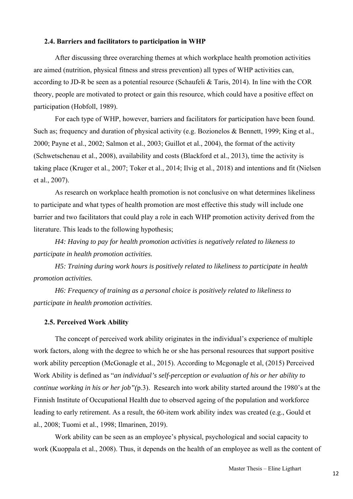## **2.4. Barriers and facilitators to participation in WHP**

After discussing three overarching themes at which workplace health promotion activities are aimed (nutrition, physical fitness and stress prevention) all types of WHP activities can, according to JD-R be seen as a potential resource (Schaufeli & Taris, 2014). In line with the COR theory, people are motivated to protect or gain this resource, which could have a positive effect on participation (Hobfoll, 1989).

For each type of WHP, however, barriers and facilitators for participation have been found. Such as; frequency and duration of physical activity (e.g. Bozionelos & Bennett, 1999; King et al., 2000; Payne et al., 2002; Salmon et al., 2003; Guillot et al., 2004), the format of the activity (Schwetschenau et al., 2008), availability and costs (Blackford et al., 2013), time the activity is taking place (Kruger et al., 2007; Toker et al., 2014; Ilvig et al., 2018) and intentions and fit (Nielsen et al., 2007).

As research on workplace health promotion is not conclusive on what determines likeliness to participate and what types of health promotion are most effective this study will include one barrier and two facilitators that could play a role in each WHP promotion activity derived from the literature. This leads to the following hypothesis;

*H4: Having to pay for health promotion activities is negatively related to likeness to participate in health promotion activities.* 

*H5: Training during work hours is positively related to likeliness to participate in health promotion activities.* 

*H6: Frequency of training as a personal choice is positively related to likeliness to participate in health promotion activities.* 

## **2.5. Perceived Work Ability**

The concept of perceived work ability originates in the individual's experience of multiple work factors, along with the degree to which he or she has personal resources that support positive work ability perception (McGonagle et al., 2015). According to Mcgonagle et al, (2015) Perceived Work Ability is defined as "*an individual's self-perception or evaluation of his or her ability to continue working in his or her job"(*p.3). Research into work ability started around the 1980's at the Finnish Institute of Occupational Health due to observed ageing of the population and workforce leading to early retirement. As a result, the 60-item work ability index was created (e.g., Gould et al., 2008; Tuomi et al., 1998; Ilmarinen, 2019).

Work ability can be seen as an employee's physical, psychological and social capacity to work (Kuoppala et al., 2008). Thus, it depends on the health of an employee as well as the content of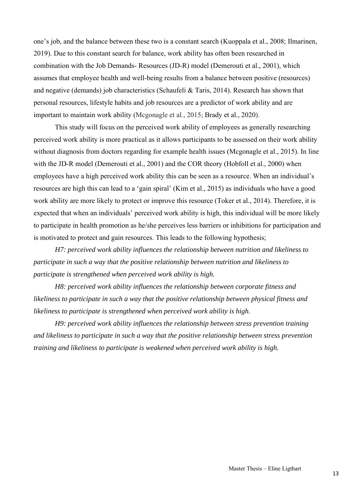one's job, and the balance between these two is a constant search (Kuoppala et al., 2008; Ilmarinen, 2019). Due to this constant search for balance, work ability has often been researched in combination with the Job Demands- Resources (JD-R) model (Demerouti et al., 2001), which assumes that employee health and well-being results from a balance between positive (resources) and negative (demands) job characteristics (Schaufeli & Taris, 2014). Research has shown that personal resources, lifestyle habits and job resources are a predictor of work ability and are important to maintain work ability (Mcgonagle et al., 2015; Brady et al., 2020).

This study will focus on the perceived work ability of employees as generally researching perceived work ability is more practical as it allows participants to be assessed on their work ability without diagnosis from doctors regarding for example health issues (Mcgonagle et al., 2015). In line with the JD-R model (Demerouti et al., 2001) and the COR theory (Hobfoll et al., 2000) when employees have a high perceived work ability this can be seen as a resource. When an individual's resources are high this can lead to a 'gain spiral' (Kim et al., 2015) as individuals who have a good work ability are more likely to protect or improve this resource (Toker et al., 2014). Therefore, it is expected that when an individuals' perceived work ability is high, this individual will be more likely to participate in health promotion as he/she perceives less barriers or inhibitions for participation and is motivated to protect and gain resources. This leads to the following hypothesis;

*H7: perceived work ability influences the relationship between nutrition and likeliness to participate in such a way that the positive relationship between nutrition and likeliness to participate is strengthened when perceived work ability is high.* 

*H8: perceived work ability influences the relationship between corporate fitness and likeliness to participate in such a way that the positive relationship between physical fitness and likeliness to participate is strengthened when perceived work ability is high.* 

*H9: perceived work ability influences the relationship between stress prevention training and likeliness to participate in such a way that the positive relationship between stress prevention training and likeliness to participate is weakened when perceived work ability is high.*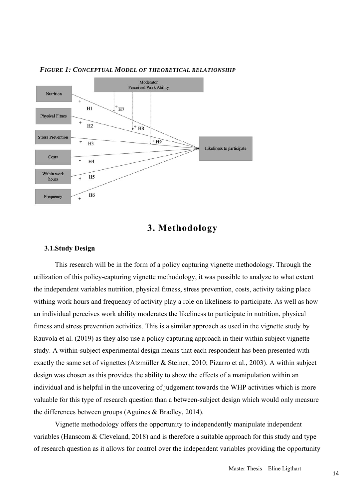

## *FIGURE 1: CONCEPTUAL MODEL OF THEORETICAL RELATIONSHIP*



### **3.1.Study Design**

This research will be in the form of a policy capturing vignette methodology. Through the utilization of this policy-capturing vignette methodology, it was possible to analyze to what extent the independent variables nutrition, physical fitness, stress prevention, costs, activity taking place withing work hours and frequency of activity play a role on likeliness to participate. As well as how an individual perceives work ability moderates the likeliness to participate in nutrition, physical fitness and stress prevention activities. This is a similar approach as used in the vignette study by Rauvola et al. (2019) as they also use a policy capturing approach in their within subject vignette study. A within-subject experimental design means that each respondent has been presented with exactly the same set of vignettes (Atzmüller & Steiner, 2010; Pizarro et al., 2003). A within subject design was chosen as this provides the ability to show the effects of a manipulation within an individual and is helpful in the uncovering of judgement towards the WHP activities which is more valuable for this type of research question than a between-subject design which would only measure the differences between groups (Aguines & Bradley, 2014).

Vignette methodology offers the opportunity to independently manipulate independent variables (Hanscom & Cleveland, 2018) and is therefore a suitable approach for this study and type of research question as it allows for control over the independent variables providing the opportunity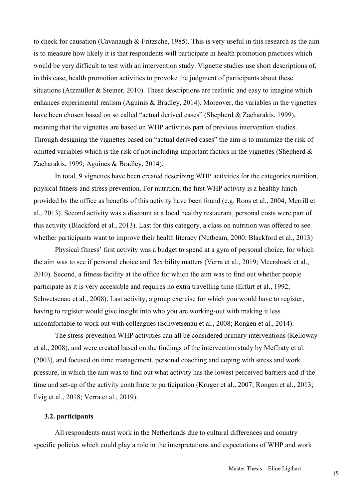to check for causation (Cavanaugh & Fritzsche, 1985). This is very useful in this research as the aim is to measure how likely it is that respondents will participate in health promotion practices which would be very difficult to test with an intervention study. Vignette studies use short descriptions of, in this case, health promotion activities to provoke the judgment of participants about these situations (Atzmüller & Steiner, 2010). These descriptions are realistic and easy to imagine which enhances experimental realism (Aguinis & Bradley, 2014). Moreover, the variables in the vignettes have been chosen based on so called "actual derived cases" (Shepherd & Zacharakis, 1999), meaning that the vignettes are based on WHP activities part of previous intervention studies. Through designing the vignettes based on "actual derived cases" the aim is to minimize the risk of omitted variables which is the risk of not including important factors in the vignettes (Shepherd & Zacharakis, 1999; Aguines & Bradley, 2014).

In total, 9 vignettes have been created describing WHP activities for the categories nutrition, physical fitness and stress prevention. For nutrition, the first WHP activity is a healthy lunch provided by the office as benefits of this activity have been found (e.g. Roos et al., 2004; Merrill et al., 2013). Second activity was a discount at a local healthy restaurant, personal costs were part of this activity (Blackford et al., 2013). Last for this category, a class on nutrition was offered to see whether participants want to improve their health literacy (Nutbeam, 2000; Blackford et al., 2013)

Physical fitness' first activity was a budget to spend at a gym of personal choice, for which the aim was to see if personal choice and flexibility matters (Verra et al., 2019; Meershoek et al., 2010). Second, a fitness facility at the office for which the aim was to find out whether people participate as it is very accessible and requires no extra travelling time (Erfurt et al., 1992; Schwetsenau et al., 2008). Last activity, a group exercise for which you would have to register, having to register would give insight into who you are working-out with making it less uncomfortable to work out with colleagues (Schwetsenau et al., 2008; Rongen et al., 2014).

The stress prevention WHP activities can all be considered primary interventions (Kelloway et al., 2008), and were created based on the findings of the intervention study by McCraty et al. (2003), and focused on time management, personal coaching and coping with stress and work pressure, in which the aim was to find out what activity has the lowest perceived barriers and if the time and set-up of the activity contribute to participation (Kruger et al., 2007; Rongen et al., 2013; Ilvig et al., 2018; Verra et al., 2019).

## **3.2. participants**

All respondents must work in the Netherlands due to cultural differences and country specific policies which could play a role in the interpretations and expectations of WHP and work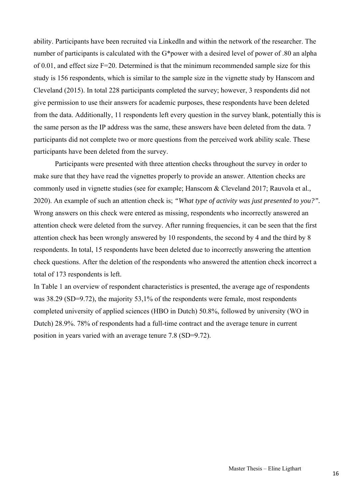ability. Participants have been recruited via LinkedIn and within the network of the researcher. The number of participants is calculated with the G\*power with a desired level of power of .80 an alpha of 0.01, and effect size F=20. Determined is that the minimum recommended sample size for this study is 156 respondents, which is similar to the sample size in the vignette study by Hanscom and Cleveland (2015). In total 228 participants completed the survey; however, 3 respondents did not give permission to use their answers for academic purposes, these respondents have been deleted from the data. Additionally, 11 respondents left every question in the survey blank, potentially this is the same person as the IP address was the same, these answers have been deleted from the data. 7 participants did not complete two or more questions from the perceived work ability scale. These participants have been deleted from the survey.

Participants were presented with three attention checks throughout the survey in order to make sure that they have read the vignettes properly to provide an answer. Attention checks are commonly used in vignette studies (see for example; Hanscom & Cleveland 2017; Rauvola et al., 2020). An example of such an attention check is; *"What type of activity was just presented to you?".* Wrong answers on this check were entered as missing, respondents who incorrectly answered an attention check were deleted from the survey. After running frequencies, it can be seen that the first attention check has been wrongly answered by 10 respondents, the second by 4 and the third by 8 respondents. In total, 15 respondents have been deleted due to incorrectly answering the attention check questions. After the deletion of the respondents who answered the attention check incorrect a total of 173 respondents is left.

In Table 1 an overview of respondent characteristics is presented, the average age of respondents was 38.29 (SD=9.72), the majority 53,1% of the respondents were female, most respondents completed university of applied sciences (HBO in Dutch) 50.8%, followed by university (WO in Dutch) 28.9%. 78% of respondents had a full-time contract and the average tenure in current position in years varied with an average tenure 7.8 (SD=9.72).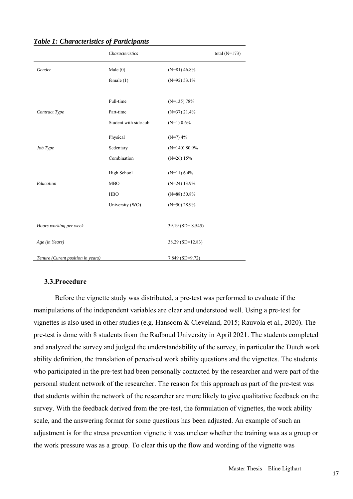|                                   | Characteristics       |                     | total $(N=173)$ |
|-----------------------------------|-----------------------|---------------------|-----------------|
| Gender                            | Male $(0)$            | $(N=81)$ 46.8%      |                 |
|                                   | female $(1)$          | $(N=92)$ 53.1%      |                 |
|                                   |                       |                     |                 |
|                                   | Full-time             | $(N=135)$ 78%       |                 |
| Contract Type                     | Part-time             | $(N=37)$ 21.4%      |                 |
|                                   | Student with side-job | $(N=1)$ 0.6%        |                 |
|                                   | Physical              | $(N=7)$ 4%          |                 |
| Job Type                          | Sedentary             | $(N=140)$ 80.9%     |                 |
|                                   | Combination           | $(N=26)$ 15%        |                 |
|                                   | High School           | $(N=11)$ 6.4%       |                 |
| Education                         | <b>MBO</b>            | $(N=24)$ 13.9%      |                 |
|                                   | <b>HBO</b>            | $(N=88) 50.8%$      |                 |
|                                   | University (WO)       | $(N=50)$ 28.9%      |                 |
|                                   |                       |                     |                 |
| Hours working per week            |                       | $39.19$ (SD= 8.545) |                 |
| Age (in Years)                    |                       | 38.29 (SD=12.83)    |                 |
| Tenure (Curent position in years) |                       | $7.849$ (SD=9.72)   |                 |

## *Table 1: Characteristics of Participants*

## **3.3.Procedure**

Before the vignette study was distributed, a pre-test was performed to evaluate if the manipulations of the independent variables are clear and understood well. Using a pre-test for vignettes is also used in other studies (e.g. Hanscom & Cleveland, 2015; Rauvola et al., 2020). The pre-test is done with 8 students from the Radboud University in April 2021. The students completed and analyzed the survey and judged the understandability of the survey, in particular the Dutch work ability definition, the translation of perceived work ability questions and the vignettes. The students who participated in the pre-test had been personally contacted by the researcher and were part of the personal student network of the researcher. The reason for this approach as part of the pre-test was that students within the network of the researcher are more likely to give qualitative feedback on the survey. With the feedback derived from the pre-test, the formulation of vignettes, the work ability scale, and the answering format for some questions has been adjusted. An example of such an adjustment is for the stress prevention vignette it was unclear whether the training was as a group or the work pressure was as a group. To clear this up the flow and wording of the vignette was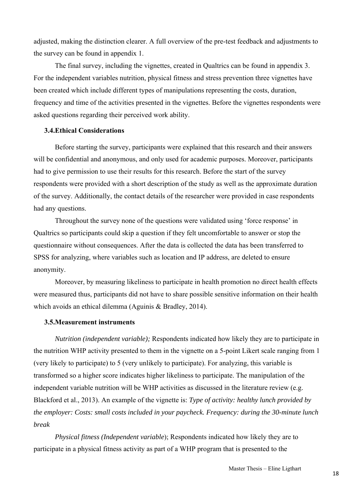adjusted, making the distinction clearer. A full overview of the pre-test feedback and adjustments to the survey can be found in appendix 1.

The final survey, including the vignettes, created in Qualtrics can be found in appendix 3. For the independent variables nutrition, physical fitness and stress prevention three vignettes have been created which include different types of manipulations representing the costs, duration, frequency and time of the activities presented in the vignettes. Before the vignettes respondents were asked questions regarding their perceived work ability.

## **3.4.Ethical Considerations**

Before starting the survey, participants were explained that this research and their answers will be confidential and anonymous, and only used for academic purposes. Moreover, participants had to give permission to use their results for this research. Before the start of the survey respondents were provided with a short description of the study as well as the approximate duration of the survey. Additionally, the contact details of the researcher were provided in case respondents had any questions.

Throughout the survey none of the questions were validated using 'force response' in Qualtrics so participants could skip a question if they felt uncomfortable to answer or stop the questionnaire without consequences. After the data is collected the data has been transferred to SPSS for analyzing, where variables such as location and IP address, are deleted to ensure anonymity.

Moreover, by measuring likeliness to participate in health promotion no direct health effects were measured thus, participants did not have to share possible sensitive information on their health which avoids an ethical dilemma (Aguinis & Bradley, 2014).

## **3.5.Measurement instruments**

*Nutrition (independent variable);* Respondents indicated how likely they are to participate in the nutrition WHP activity presented to them in the vignette on a 5-point Likert scale ranging from 1 (very likely to participate) to 5 (very unlikely to participate). For analyzing, this variable is transformed so a higher score indicates higher likeliness to participate. The manipulation of the independent variable nutrition will be WHP activities as discussed in the literature review (e.g. Blackford et al., 2013). An example of the vignette is: *Type of activity: healthy lunch provided by the employer: Costs: small costs included in your paycheck. Frequency: during the 30-minute lunch break* 

*Physical fitness (Independent variable*); Respondents indicated how likely they are to participate in a physical fitness activity as part of a WHP program that is presented to the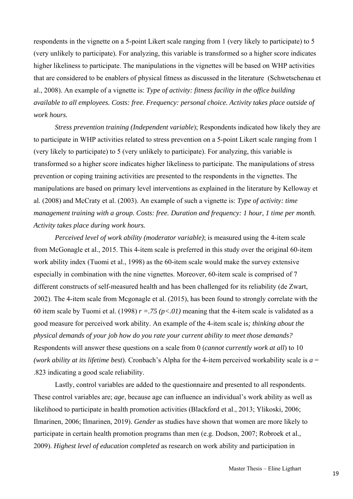respondents in the vignette on a 5-point Likert scale ranging from 1 (very likely to participate) to 5 (very unlikely to participate)*.* For analyzing, this variable is transformed so a higher score indicates higher likeliness to participate. The manipulations in the vignettes will be based on WHP activities that are considered to be enablers of physical fitness as discussed in the literature (Schwetschenau et al., 2008). An example of a vignette is: *Type of activity: fitness facility in the office building available to all employees. Costs: free. Frequency: personal choice. Activity takes place outside of work hours.* 

*Stress prevention training (Independent variable*); Respondents indicated how likely they are to participate in WHP activities related to stress prevention on a 5-point Likert scale ranging from 1 (very likely to participate) to 5 (very unlikely to participate). For analyzing, this variable is transformed so a higher score indicates higher likeliness to participate. The manipulations of stress prevention or coping training activities are presented to the respondents in the vignettes. The manipulations are based on primary level interventions as explained in the literature by Kelloway et al. (2008) and McCraty et al. (2003). An example of such a vignette is: *Type of activity: time management training with a group. Costs: free. Duration and frequency: 1 hour, 1 time per month. Activity takes place during work hours.* 

*Perceived level of work ability (moderator variable)*; is measured using the 4-item scale from McGonagle et al., 2015. This 4-item scale is preferred in this study over the original 60-item work ability index (Tuomi et al., 1998) as the 60-item scale would make the survey extensive especially in combination with the nine vignettes. Moreover, 60-item scale is comprised of 7 different constructs of self-measured health and has been challenged for its reliability (de Zwart, 2002). The 4-item scale from Mcgonagle et al. (2015), has been found to strongly correlate with the 60 item scale by Tuomi et al. (1998)  $r = .75$  ( $p < .01$ ) meaning that the 4-item scale is validated as a good measure for perceived work ability. An example of the 4-item scale is*; thinking about the physical demands of your job how do you rate your current ability to meet those demands?* Respondents will answer these questions on a scale from 0 (*cannot currently work at all*) to 10 *(work ability at its lifetime best*). Cronbach's Alpha for the 4-item perceived workability scale is *a* = .823 indicating a good scale reliability.

 Lastly, control variables are added to the questionnaire and presented to all respondents. These control variables are; *age*, because age can influence an individual's work ability as well as likelihood to participate in health promotion activities (Blackford et al., 2013; Ylikoski, 2006; Ilmarinen, 2006; Ilmarinen, 2019). *Gender* as studies have shown that women are more likely to participate in certain health promotion programs than men (e.g. Dodson, 2007; Robroek et al., 2009). *Highest level of education completed* as research on work ability and participation in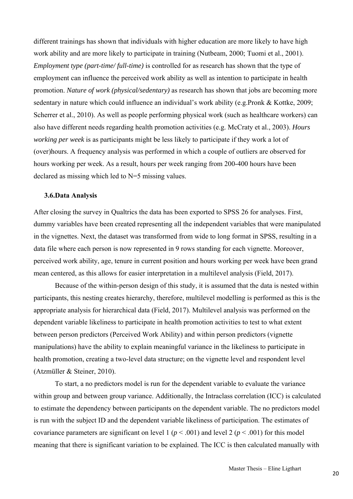different trainings has shown that individuals with higher education are more likely to have high work ability and are more likely to participate in training (Nutbeam, 2000; Tuomi et al., 2001). *Employment type (part-time/ full-time)* is controlled for as research has shown that the type of employment can influence the perceived work ability as well as intention to participate in health promotion. *Nature of work (physical/sedentary)* as research has shown that jobs are becoming more sedentary in nature which could influence an individual's work ability (e.g.Pronk & Kottke, 2009; Scherrer et al., 2010). As well as people performing physical work (such as healthcare workers) can also have different needs regarding health promotion activities (e.g. McCraty et al., 2003). *Hours working per week* is as participants might be less likely to participate if they work a lot of (over)hours. A frequency analysis was performed in which a couple of outliers are observed for hours working per week. As a result, hours per week ranging from 200-400 hours have been declared as missing which led to N=5 missing values.

#### **3.6.Data Analysis**

After closing the survey in Qualtrics the data has been exported to SPSS 26 for analyses. First, dummy variables have been created representing all the independent variables that were manipulated in the vignettes. Next, the dataset was transformed from wide to long format in SPSS, resulting in a data file where each person is now represented in 9 rows standing for each vignette. Moreover, perceived work ability, age, tenure in current position and hours working per week have been grand mean centered, as this allows for easier interpretation in a multilevel analysis (Field, 2017).

Because of the within-person design of this study, it is assumed that the data is nested within participants, this nesting creates hierarchy, therefore, multilevel modelling is performed as this is the appropriate analysis for hierarchical data (Field, 2017). Multilevel analysis was performed on the dependent variable likeliness to participate in health promotion activities to test to what extent between person predictors (Perceived Work Ability) and within person predictors (vignette manipulations) have the ability to explain meaningful variance in the likeliness to participate in health promotion, creating a two-level data structure; on the vignette level and respondent level (Atzmüller & Steiner, 2010).

 To start, a no predictors model is run for the dependent variable to evaluate the variance within group and between group variance. Additionally, the Intraclass correlation (ICC) is calculated to estimate the dependency between participants on the dependent variable. The no predictors model is run with the subject ID and the dependent variable likeliness of participation. The estimates of covariance parameters are significant on level 1 ( $p < .001$ ) and level 2 ( $p < .001$ ) for this model meaning that there is significant variation to be explained. The ICC is then calculated manually with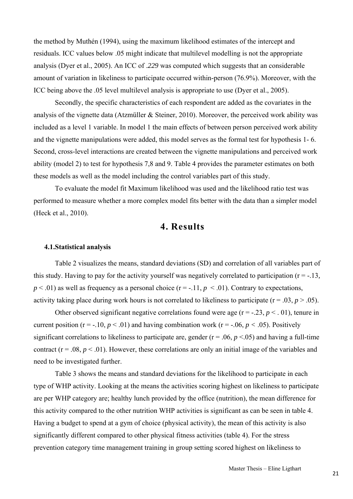the method by Muthén (1994), using the maximum likelihood estimates of the intercept and residuals. ICC values below .05 might indicate that multilevel modelling is not the appropriate analysis (Dyer et al., 2005). An ICC of .*229* was computed which suggests that an considerable amount of variation in likeliness to participate occurred within-person (76.9%). Moreover, with the ICC being above the .05 level multilevel analysis is appropriate to use (Dyer et al., 2005).

Secondly, the specific characteristics of each respondent are added as the covariates in the analysis of the vignette data (Atzmüller & Steiner, 2010). Moreover, the perceived work ability was included as a level 1 variable. In model 1 the main effects of between person perceived work ability and the vignette manipulations were added, this model serves as the formal test for hypothesis 1- 6. Second, cross-level interactions are created between the vignette manipulations and perceived work ability (model 2) to test for hypothesis 7,8 and 9. Table 4 provides the parameter estimates on both these models as well as the model including the control variables part of this study.

 To evaluate the model fit Maximum likelihood was used and the likelihood ratio test was performed to measure whether a more complex model fits better with the data than a simpler model (Heck et al., 2010).

## **4. Results**

## **4.1.Statistical analysis**

Table 2 visualizes the means, standard deviations (SD) and correlation of all variables part of this study. Having to pay for the activity yourself was negatively correlated to participation (r = -.13*,*  $p < .01$ ) as well as frequency as a personal choice ( $r = -.11$ ,  $p < .01$ ). Contrary to expectations, activity taking place during work hours is not correlated to likeliness to participate ( $r = .03$ ,  $p > .05$ ).

Other observed significant negative correlations found were age  $(r = -0.23, p < 0.01)$ , tenure in current position ( $r = -10$ ,  $p < .01$ ) and having combination work ( $r = -0.06$ ,  $p < .05$ ). Positively significant correlations to likeliness to participate are, gender  $(r = .06, p < .05)$  and having a full-time contract  $(r = .08, p < .01)$ . However, these correlations are only an initial image of the variables and need to be investigated further.

 Table 3 shows the means and standard deviations for the likelihood to participate in each type of WHP activity. Looking at the means the activities scoring highest on likeliness to participate are per WHP category are; healthy lunch provided by the office (nutrition), the mean difference for this activity compared to the other nutrition WHP activities is significant as can be seen in table 4. Having a budget to spend at a gym of choice (physical activity), the mean of this activity is also significantly different compared to other physical fitness activities (table 4). For the stress prevention category time management training in group setting scored highest on likeliness to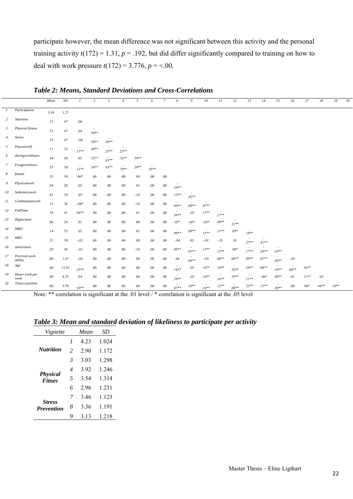participate however, the mean difference was not significant between this activity and the personal training activity  $t(172) = 1.31$ ,  $p = .192$ , but did differ significantly compared to training on how to deal with work pressure  $t(172) = 3.776$ ,  $p = <.00$ .

|                  |                          | Mean    | $\cal SD$ | $\mathbf{I}$ | $\overline{c}$ | $\mathfrak{z}$ | $\overline{A}$    | 5       | 6       | $\overline{7}$ | 8       | 9       | 10       | II      | 12      | 13       | 14                                  | 15       | 16                                  | 17      | 18       | 19      | 20 |
|------------------|--------------------------|---------|-----------|--------------|----------------|----------------|-------------------|---------|---------|----------------|---------|---------|----------|---------|---------|----------|-------------------------------------|----------|-------------------------------------|---------|----------|---------|----|
| $\boldsymbol{l}$ | Participation            | 3.39    | 1.27      |              |                |                |                   |         |         |                |         |         |          |         |         |          |                                     |          |                                     |         |          |         |    |
| $\overline{c}$   | Nutrition                | .33     | .47       | .00          |                |                |                   |         |         |                |         |         |          |         |         |          |                                     |          |                                     |         |          |         |    |
| $\mathfrak{Z}$   | Physical fitness         | .33     | .47       | .04          | $.50**$        |                |                   |         |         |                |         |         |          |         |         |          |                                     |          |                                     |         |          |         |    |
| $\overline{4}$   | <b>Stress</b>            | .33     | .47       | $-.04$       | $.50**$        | $.50**$        |                   |         |         |                |         |         |          |         |         |          |                                     |          |                                     |         |          |         |    |
| 5                | Payyourself              | .11     | .32       | $.13**$      | $.48**$        | $.25**$        | $.23**$           |         |         |                |         |         |          |         |         |          |                                     |          |                                     |         |          |         |    |
| 6                | duringworkhours          | .44     | .50       | .03          | $.32**$        | $.63**$        | $.32**$           | $.39**$ |         |                |         |         |          |         |         |          |                                     |          |                                     |         |          |         |    |
| $\mathcal{I}$    | Freqperschoice           | .55     | .50       | $.11***$     | $.16**$        | $.63**$        | $\sim$<br>$.79**$ | $.29**$ | $.55**$ |                |         |         |          |         |         |          |                                     |          |                                     |         |          |         |    |
| 8                | female                   | .53     | .50       | $.06*$       | .00            | .00            | .00               | .00     | .00     | .00            |         |         |          |         |         |          |                                     |          |                                     |         |          |         |    |
| 9                | Physicalwork             | .04     | .20       | .02          | $.00\,$        | .00.           | .00               | .03     | $.00\,$ | .00.           | $.10**$ |         |          |         |         |          |                                     |          |                                     |         |          |         |    |
| 10               | Sedentarywork            | .81     | .39       | .05          | $.00\,$        | $.00\,$        | .00.              | $-.01$  | $.00\,$ | $.00\,$        | $.13**$ | $.42**$ |          |         |         |          |                                     |          |                                     |         |          |         |    |
| $_{II}$          | Combinationwork          | .15     | .36       | $-.06*$      | $.00\,$        | .00.           | .00               | $-.01$  | $.00\,$ | .00            | $.09**$ | $.09**$ | $.87**$  |         |         |          |                                     |          |                                     |         |          |         |    |
| 12               | <b>FullTime</b>          | .78     | .41       | $.08**$      | $.00\,$        | $.00\,$        | .00               | .01     | $.00\,$ | .00.           | $.36**$ | $-.03$  | $.17**$  | $.17**$ |         |          |                                     |          |                                     |         |          |         |    |
| 13               | Highschool               | .06     | .24       | .01          | $.00\,$        | $.00\,$        | $.00\,$           | .00.    | $.00\,$ | .00            | $.05*$  | $-.05*$ | $-.05*$  | $.09**$ | $.21**$ |          |                                     |          |                                     |         |          |         |    |
| 14               | MBO                      | .14     | .35       | .03          | $.00\,$        | $.00\,$        | $.00\,$           | .01     | $.00\,$ | .00            | $.09**$ | $.09**$ | $.15***$ | $.11**$ | $.05*$  | $.10**$  |                                     |          |                                     |         |          |         |    |
| 15               | HBO                      | .51     | .50       | $-.02$       | $.00\,$        | .00.           | .00               | .00     | $.00\,$ | .00            | $-.04$  | .03     | $-.01$   | $-.01$  | .01     | $.27**$  | $.41**$                             |          |                                     |         |          |         |    |
| 16               | universiteit             | .29     | .45       | $-.01$       | $.00\,$        | $.00\,$        | .00               | $-.01$  | $.00\,$ | $.00\,$        | $.09**$ | $07**$  | $.15***$ | $.13**$ | $.06*$  | $.17**$  | $\overline{\phantom{a}}$<br>$.26**$ | $.65***$ |                                     |         |          |         |    |
| 17               | Percived work<br>ability | .00     | 1.07      | $-.04$       | .00.           | .00            | .00               | .00     | $.00\,$ | .00.           | .04     | $.09**$ | $-.03$   | $.08**$ | $.09**$ | $.09**$  | $.07**$                             | $.09**$  | $-.01$                              |         |          |         |    |
| 18               | Age                      | $.00\,$ | 12.83     | $23**$       | .00.           | .00            | $.00\,$           | .00.    | $.00\,$ | .00.           | $.18**$ | $-.05$  | $-.07*$  | $.10**$ | $.20**$ | $.24**$  | $.08**$                             | $.10**$  | $\overline{\phantom{a}}$<br>$.08**$ | $.16**$ |          |         |    |
| 19               | Hours work per<br>week   | .00     | 8.55      | .04          | .00            | .00            | .00               | .00     | $.00\,$ | .00.           | $.39**$ | $-.03$  | $.16**$  | $.16**$ | $.59**$ | $.11***$ | $-.06*$                             | $.09**$  | .01                                 | $.11**$ | .03      |         |    |
| 20               | Tenure position          | .00.    | 9.70      | $.10**$      | .00.           | .00.           | .00.              | .00.    | .00.    | .00.           | $.07**$ | $.10**$ | $.16**$  | $.12**$ | $.08**$ | $.22**$  | $.13**$                             | $.20**$  | .00                                 | $.06*$  | $.64***$ | $.10**$ |    |

*Table 2: Means, Standard Deviations and Cross-Correlations* 

Note: \*\* correlation is significant at the .01 level / \* correlation is significant at the .05 level

| Vignette                           |                          | Mean | SD    |
|------------------------------------|--------------------------|------|-------|
|                                    | 1                        | 4.23 | 1.024 |
| <b>Nutrition</b>                   | $\overline{2}$           | 2.90 | 1.172 |
|                                    | 3                        | 3.03 | 1.298 |
|                                    | $\overline{\mathcal{A}}$ | 3.92 | 1 246 |
| <b>Physical</b><br><b>Fitnes</b>   | 5                        | 3.54 | 1.314 |
|                                    | 6                        | 2.96 | 1.231 |
|                                    | 7                        | 3.46 | 1.123 |
| <b>Stress</b><br><b>Prevention</b> | 8                        | 3.36 | 1.191 |
|                                    | 9                        | 3.13 | 1.218 |

*Table 3: Mean and standard deviation of likeliness to participate per activity*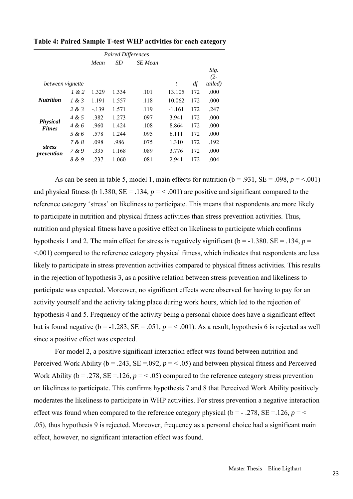|                  |       |         | <b>Paired Differences</b> |                |          |     |         |
|------------------|-------|---------|---------------------------|----------------|----------|-----|---------|
|                  |       | Mean    | SD                        | <b>SE</b> Mean |          |     |         |
|                  |       |         |                           |                |          |     | Sig.    |
|                  |       |         |                           |                |          |     | $(2 -$  |
| between vignette |       |         |                           |                | t        | df  | tailed) |
|                  | 1 & 2 | 1.329   | 1.334                     | .101           | 13.105   | 172 | .000    |
| <b>Nutrition</b> | 1 & 3 | 1.191   | 1.557                     | .118           | 10.062   | 172 | .000    |
|                  | 2 & 3 | $-.139$ | 1.571                     | .119           | $-1.161$ | 172 | .247    |
| <b>Physical</b>  | 4 & 5 | .382    | 1.273                     | .097           | 3.941    | 172 | .000    |
| <b>Fitnes</b>    | 4 & 6 | .960    | 1.424                     | .108           | 8.864    | 172 | .000    |
|                  | 5 & 6 | .578    | 1.244                     | .095           | 6.111    | 172 | .000    |
| <i>stress</i>    | 7 & 8 | .098    | .986                      | .075           | 1.310    | 172 | .192    |
| prevention       | 7 & 9 | .335    | 1.168                     | .089           | 3.776    | 172 | .000    |
|                  | 8 & 9 | .237    | 1.060                     | .081           | 2.941    | 172 | .004    |

**Table 4: Paired Sample T-test WHP activities for each category** 

As can be seen in table 5, model 1, main effects for nutrition  $(b = .931, SE = .098, p = < .001)$ and physical fitness (b 1.380,  $SE = .134$ ,  $p = < .001$ ) are positive and significant compared to the reference category 'stress' on likeliness to participate. This means that respondents are more likely to participate in nutrition and physical fitness activities than stress prevention activities. Thus, nutrition and physical fitness have a positive effect on likeliness to participate which confirms hypothesis 1 and 2. The main effect for stress is negatively significant ( $b = -1.380$ . SE = .134,  $p =$ <.001) compared to the reference category physical fitness, which indicates that respondents are less likely to participate in stress prevention activities compared to physical fitness activities. This results in the rejection of hypothesis 3, as a positive relation between stress prevention and likeliness to participate was expected. Moreover, no significant effects were observed for having to pay for an activity yourself and the activity taking place during work hours, which led to the rejection of hypothesis 4 and 5. Frequency of the activity being a personal choice does have a significant effect but is found negative ( $b = -1.283$ ,  $SE = .051$ ,  $p = < .001$ ). As a result, hypothesis 6 is rejected as well since a positive effect was expected.

For model 2, a positive significant interaction effect was found between nutrition and Perceived Work Ability ( $b = .243$ ,  $SE = .092$ ,  $p = < .05$ ) and between physical fitness and Perceived Work Ability ( $b = .278$ ,  $SE = .126$ ,  $p = < .05$ ) compared to the reference category stress prevention on likeliness to participate. This confirms hypothesis 7 and 8 that Perceived Work Ability positively moderates the likeliness to participate in WHP activities. For stress prevention a negative interaction effect was found when compared to the reference category physical ( $b = -0.278$ , SE = 126,  $p =$ .05), thus hypothesis 9 is rejected. Moreover, frequency as a personal choice had a significant main effect, however, no significant interaction effect was found.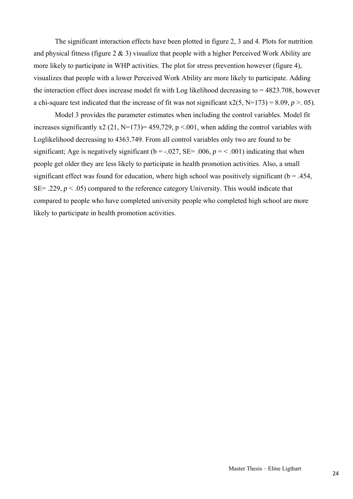The significant interaction effects have been plotted in figure 2, 3 and 4. Plots for nutrition and physical fitness (figure  $2 \& 3$ ) visualize that people with a higher Perceived Work Ability are more likely to participate in WHP activities. The plot for stress prevention however (figure 4), visualizes that people with a lower Perceived Work Ability are more likely to participate. Adding the interaction effect does increase model fit with Log likelihood decreasing to = 4823.708, however a chi-square test indicated that the increase of fit was not significant  $x2(5, N=173) = 8.09, p > 0.05$ .

Model 3 provides the parameter estimates when including the control variables. Model fit increases significantly x2 (21, N=173)= 459,729, p <.001, when adding the control variables with Loglikelihood decreasing to 4363.749. From all control variables only two are found to be significant; Age is negatively significant ( $b = -.027$ , SE= .006,  $p = < .001$ ) indicating that when people get older they are less likely to participate in health promotion activities. Also, a small significant effect was found for education, where high school was positively significant ( $b = .454$ , SE= .229,  $p < .05$ ) compared to the reference category University. This would indicate that compared to people who have completed university people who completed high school are more likely to participate in health promotion activities.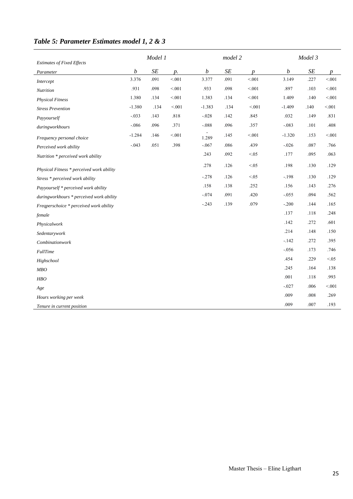|                                           |                           | Model 1           |                 |                           | model 2           |                           |                           | Model 3           |                           |
|-------------------------------------------|---------------------------|-------------------|-----------------|---------------------------|-------------------|---------------------------|---------------------------|-------------------|---------------------------|
| <b>Estimates of Fixed Effects</b>         |                           |                   |                 |                           |                   |                           |                           |                   |                           |
| Parameter                                 | $\boldsymbol{b}$<br>3.376 | $\cal SE$<br>.091 | $p$ .<br>< 0.01 | $\boldsymbol{b}$<br>3.377 | $\cal SE$<br>.091 | $\boldsymbol{p}$<br>< 001 | $\boldsymbol{b}$<br>3.149 | $\cal SE$<br>.227 | $\boldsymbol{p}$<br>< 001 |
| Intercept                                 | .931                      | .098              | < 0.01          | .933                      | .098              | < 0.01                    | .897                      | .103              | < 0.01                    |
| Nutrition                                 |                           |                   |                 |                           |                   |                           |                           |                   |                           |
| <b>Physical Fitness</b>                   | 1.380                     | .134              | < 0.01          | 1.383                     | .134              | $< 001$                   | 1.409                     | .140              | < 001                     |
| <b>Stress Prevention</b>                  | $-1.380$                  | .134              | < 0.01          | $-1.383$                  | .134              | < 0.01                    | $-1.409$                  | .140              | $< 001$                   |
| Payyourself                               | $-.033$                   | .143              | .818            | $-.028$                   | .142              | .845                      | .032                      | .149              | .831                      |
| duringworkhours                           | $-.086$                   | .096              | .371            | $-.088$                   | .096              | .357                      | $-.083$                   | .101              | .408                      |
| Frequency personal choice                 | $-1.284$                  | .146              | $< 001$         | 1.289                     | .145              | < 0.01                    | $-1.320$                  | .153              | < 0.01                    |
| Perceived work ability                    | $-.043$                   | .051              | .398            | $-.067$                   | .086              | .439                      | $-.026$                   | $.087\,$          | .766                      |
| Nutrition * perceived work ability        |                           |                   |                 | .243                      | .092              | < 0.05                    | .177                      | .095              | .063                      |
| Physical Fitness * perceived work ability |                           |                   |                 | .278                      | .126              | < 0.05                    | .198                      | .130              | .129                      |
| Stress * perceived work ability           |                           |                   |                 | $-.278$                   | .126              | < 0.05                    | $-.198$                   | .130              | .129                      |
| Payyourself * perceived work ability      |                           |                   |                 | .158                      | .138              | .252                      | .156                      | .143              | .276                      |
| duringworkhours * perceived work ability  |                           |                   |                 | $-.074$                   | .091              | .420                      | $-.055$                   | .094              | .562                      |
| Freqperschoice * perceived work ability   |                           |                   |                 | $-.243$                   | .139              | .079                      | $-.200$                   | .144              | .165                      |
| female                                    |                           |                   |                 |                           |                   |                           | .137                      | .118              | .248                      |
| Physicalwork                              |                           |                   |                 |                           |                   |                           | .142                      | .272              | .601                      |
| Sedentarywork                             |                           |                   |                 |                           |                   |                           | .214                      | .148              | .150                      |
| Combinationwork                           |                           |                   |                 |                           |                   |                           | $-.142$                   | .272              | .395                      |
| <b>FullTime</b>                           |                           |                   |                 |                           |                   |                           | $-.056$                   | .173              | .746                      |
| Highschool                                |                           |                   |                 |                           |                   |                           | .454                      | .229              | < 0.05                    |
| MBO                                       |                           |                   |                 |                           |                   |                           | .245                      | .164              | .138                      |
| HBO                                       |                           |                   |                 |                           |                   |                           | .001                      | .118              | .993                      |
| Age                                       |                           |                   |                 |                           |                   |                           | $-.027$                   | .006              | < 001                     |
| Hours working per week                    |                           |                   |                 |                           |                   |                           | .009                      | .008              | .269                      |
| Tenure in current position                |                           |                   |                 |                           |                   |                           | .009                      | .007              | .193                      |

## *Table 5: Parameter Estimates model 1, 2 & 3*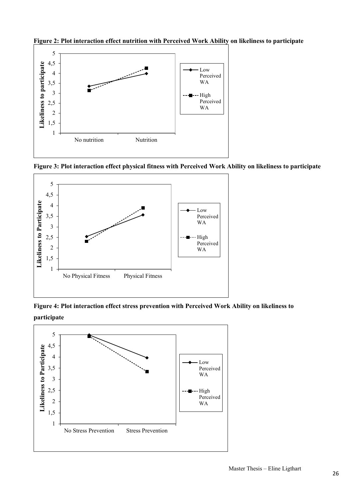

**Figure 2: Plot interaction effect nutrition with Perceived Work Ability on likeliness to participate**

**Figure 3: Plot interaction effect physical fitness with Perceived Work Ability on likeliness to participate** 



**Figure 4: Plot interaction effect stress prevention with Perceived Work Ability on likeliness to participate** 

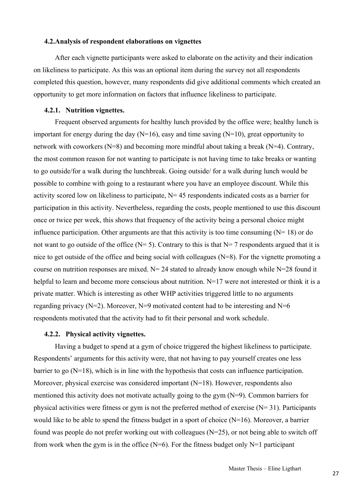## **4.2.Analysis of respondent elaborations on vignettes**

After each vignette participants were asked to elaborate on the activity and their indication on likeliness to participate. As this was an optional item during the survey not all respondents completed this question, however, many respondents did give additional comments which created an opportunity to get more information on factors that influence likeliness to participate.

## **4.2.1. Nutrition vignettes.**

Frequent observed arguments for healthy lunch provided by the office were; healthy lunch is important for energy during the day  $(N=16)$ , easy and time saving  $(N=10)$ , great opportunity to network with coworkers (N=8) and becoming more mindful about taking a break (N=4). Contrary, the most common reason for not wanting to participate is not having time to take breaks or wanting to go outside/for a walk during the lunchbreak. Going outside/ for a walk during lunch would be possible to combine with going to a restaurant where you have an employee discount. While this activity scored low on likeliness to participate,  $N= 45$  respondents indicated costs as a barrier for participation in this activity. Nevertheless, regarding the costs, people mentioned to use this discount once or twice per week, this shows that frequency of the activity being a personal choice might influence participation. Other arguments are that this activity is too time consuming  $(N= 18)$  or do not want to go outside of the office ( $N= 5$ ). Contrary to this is that  $N= 7$  respondents argued that it is nice to get outside of the office and being social with colleagues (N=8). For the vignette promoting a course on nutrition responses are mixed.  $N = 24$  stated to already know enough while  $N = 28$  found it helpful to learn and become more conscious about nutrition. N=17 were not interested or think it is a private matter. Which is interesting as other WHP activities triggered little to no arguments regarding privacy ( $N=2$ ). Moreover,  $N=9$  motivated content had to be interesting and  $N=6$ respondents motivated that the activity had to fit their personal and work schedule.

#### **4.2.2. Physical activity vignettes.**

Having a budget to spend at a gym of choice triggered the highest likeliness to participate. Respondents' arguments for this activity were, that not having to pay yourself creates one less barrier to go  $(N=18)$ , which is in line with the hypothesis that costs can influence participation. Moreover, physical exercise was considered important (N=18). However, respondents also mentioned this activity does not motivate actually going to the gym  $(N=9)$ . Common barriers for physical activities were fitness or gym is not the preferred method of exercise  $(N= 31)$ . Participants would like to be able to spend the fitness budget in a sport of choice (N=16). Moreover, a barrier found was people do not prefer working out with colleagues  $(N=25)$ , or not being able to switch off from work when the gym is in the office  $(N=6)$ . For the fitness budget only  $N=1$  participant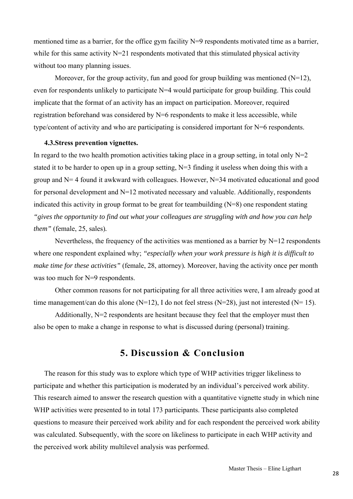mentioned time as a barrier, for the office gym facility N=9 respondents motivated time as a barrier, while for this same activity  $N=21$  respondents motivated that this stimulated physical activity without too many planning issues.

Moreover, for the group activity, fun and good for group building was mentioned  $(N=12)$ , even for respondents unlikely to participate N=4 would participate for group building. This could implicate that the format of an activity has an impact on participation. Moreover, required registration beforehand was considered by  $N=6$  respondents to make it less accessible, while type/content of activity and who are participating is considered important for N=6 respondents.

#### **4.3.Stress prevention vignettes.**

In regard to the two health promotion activities taking place in a group setting, in total only  $N=2$ stated it to be harder to open up in a group setting, N=3 finding it useless when doing this with a group and  $N=4$  found it awkward with colleagues. However,  $N=34$  motivated educational and good for personal development and  $N=12$  motivated necessary and valuable. Additionally, respondents indicated this activity in group format to be great for teambuilding (N=8) one respondent stating *"gives the opportunity to find out what your colleagues are struggling with and how you can help them"* (female, 25, sales)*.*

Nevertheless, the frequency of the activities was mentioned as a barrier by  $N=12$  respondents where one respondent explained why; *"especially when your work pressure is high it is difficult to make time for these activities"* (female, 28, attorney)*.* Moreover, having the activity once per month was too much for N=9 respondents.

Other common reasons for not participating for all three activities were, I am already good at time management/can do this alone  $(N=12)$ , I do not feel stress  $(N=28)$ , just not interested  $(N=15)$ .

Additionally,  $N=2$  respondents are hesitant because they feel that the employer must then also be open to make a change in response to what is discussed during (personal) training.

## **5. Discussion & Conclusion**

The reason for this study was to explore which type of WHP activities trigger likeliness to participate and whether this participation is moderated by an individual's perceived work ability. This research aimed to answer the research question with a quantitative vignette study in which nine WHP activities were presented to in total 173 participants. These participants also completed questions to measure their perceived work ability and for each respondent the perceived work ability was calculated. Subsequently, with the score on likeliness to participate in each WHP activity and the perceived work ability multilevel analysis was performed.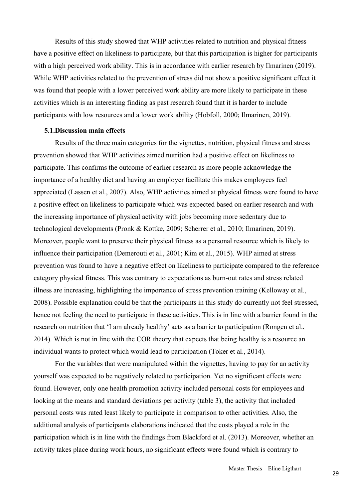Results of this study showed that WHP activities related to nutrition and physical fitness have a positive effect on likeliness to participate, but that this participation is higher for participants with a high perceived work ability. This is in accordance with earlier research by Ilmarinen (2019). While WHP activities related to the prevention of stress did not show a positive significant effect it was found that people with a lower perceived work ability are more likely to participate in these activities which is an interesting finding as past research found that it is harder to include participants with low resources and a lower work ability (Hobfoll, 2000; Ilmarinen, 2019).

## **5.1.Discussion main effects**

Results of the three main categories for the vignettes, nutrition, physical fitness and stress prevention showed that WHP activities aimed nutrition had a positive effect on likeliness to participate. This confirms the outcome of earlier research as more people acknowledge the importance of a healthy diet and having an employer facilitate this makes employees feel appreciated (Lassen et al., 2007). Also, WHP activities aimed at physical fitness were found to have a positive effect on likeliness to participate which was expected based on earlier research and with the increasing importance of physical activity with jobs becoming more sedentary due to technological developments (Pronk & Kottke, 2009; Scherrer et al., 2010; Ilmarinen, 2019). Moreover, people want to preserve their physical fitness as a personal resource which is likely to influence their participation (Demerouti et al., 2001; Kim et al., 2015). WHP aimed at stress prevention was found to have a negative effect on likeliness to participate compared to the reference category physical fitness. This was contrary to expectations as burn-out rates and stress related illness are increasing, highlighting the importance of stress prevention training (Kelloway et al., 2008). Possible explanation could be that the participants in this study do currently not feel stressed, hence not feeling the need to participate in these activities. This is in line with a barrier found in the research on nutrition that 'I am already healthy' acts as a barrier to participation (Rongen et al., 2014). Which is not in line with the COR theory that expects that being healthy is a resource an individual wants to protect which would lead to participation (Toker et al., 2014).

For the variables that were manipulated within the vignettes, having to pay for an activity yourself was expected to be negatively related to participation. Yet no significant effects were found. However, only one health promotion activity included personal costs for employees and looking at the means and standard deviations per activity (table 3), the activity that included personal costs was rated least likely to participate in comparison to other activities. Also, the additional analysis of participants elaborations indicated that the costs played a role in the participation which is in line with the findings from Blackford et al. (2013). Moreover, whether an activity takes place during work hours, no significant effects were found which is contrary to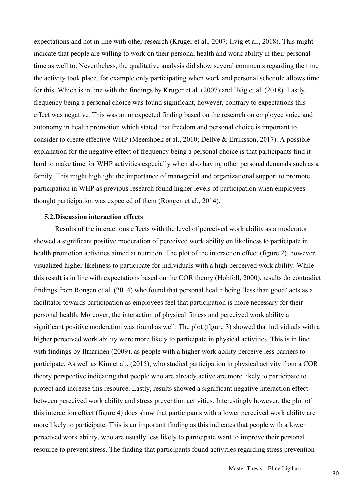expectations and not in line with other research (Kruger et al., 2007; Ilvig et al., 2018). This might indicate that people are willing to work on their personal health and work ability in their personal time as well to. Nevertheless, the qualitative analysis did show several comments regarding the time the activity took place, for example only participating when work and personal schedule allows time for this. Which is in line with the findings by Kruger et al. (2007) and Ilvig et al. (2018). Lastly, frequency being a personal choice was found significant, however, contrary to expectations this effect was negative. This was an unexpected finding based on the research on employee voice and autonomy in health promotion which stated that freedom and personal choice is important to consider to create effective WHP (Meershoek et al., 2010; Dellve & Erriksson, 2017). A possible explanation for the negative effect of frequency being a personal choice is that participants find it hard to make time for WHP activities especially when also having other personal demands such as a family. This might highlight the importance of managerial and organizational support to promote participation in WHP as previous research found higher levels of participation when employees thought participation was expected of them (Rongen et al., 2014).

## **5.2.Discussion interaction effects**

Results of the interactions effects with the level of perceived work ability as a moderator showed a significant positive moderation of perceived work ability on likeliness to participate in health promotion activities aimed at nutrition. The plot of the interaction effect (figure 2), however, visualized higher likeliness to participate for individuals with a high perceived work ability. While this result is in line with expectations based on the COR theory (Hobfoll, 2000), results do contradict findings from Rongen et al. (2014) who found that personal health being 'less than good' acts as a facilitator towards participation as employees feel that participation is more necessary for their personal health. Moreover, the interaction of physical fitness and perceived work ability a significant positive moderation was found as well. The plot (figure 3) showed that individuals with a higher perceived work ability were more likely to participate in physical activities. This is in line with findings by Ilmarinen (2009), as people with a higher work ability perceive less barriers to participate. As well as Kim et al., (2015), who studied participation in physical activity from a COR theory perspective indicating that people who are already active are more likely to participate to protect and increase this resource. Lastly, results showed a significant negative interaction effect between perceived work ability and stress prevention activities. Interestingly however, the plot of this interaction effect (figure 4) does show that participants with a lower perceived work ability are more likely to participate. This is an important finding as this indicates that people with a lower perceived work ability, who are usually less likely to participate want to improve their personal resource to prevent stress. The finding that participants found activities regarding stress prevention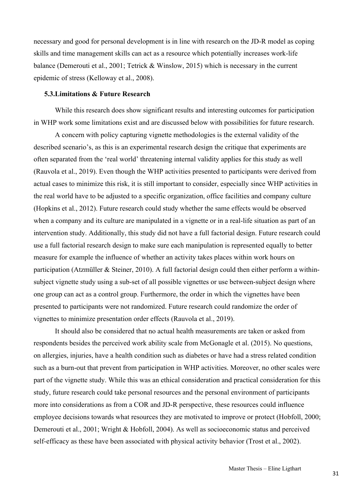necessary and good for personal development is in line with research on the JD-R model as coping skills and time management skills can act as a resource which potentially increases work-life balance (Demerouti et al., 2001; Tetrick & Winslow, 2015) which is necessary in the current epidemic of stress (Kelloway et al., 2008).

## **5.3.Limitations & Future Research**

While this research does show significant results and interesting outcomes for participation in WHP work some limitations exist and are discussed below with possibilities for future research.

A concern with policy capturing vignette methodologies is the external validity of the described scenario's, as this is an experimental research design the critique that experiments are often separated from the 'real world' threatening internal validity applies for this study as well (Rauvola et al., 2019). Even though the WHP activities presented to participants were derived from actual cases to minimize this risk, it is still important to consider, especially since WHP activities in the real world have to be adjusted to a specific organization, office facilities and company culture (Hopkins et al., 2012). Future research could study whether the same effects would be observed when a company and its culture are manipulated in a vignette or in a real-life situation as part of an intervention study. Additionally, this study did not have a full factorial design. Future research could use a full factorial research design to make sure each manipulation is represented equally to better measure for example the influence of whether an activity takes places within work hours on participation (Atzmüller & Steiner, 2010). A full factorial design could then either perform a withinsubject vignette study using a sub-set of all possible vignettes or use between-subject design where one group can act as a control group. Furthermore, the order in which the vignettes have been presented to participants were not randomized. Future research could randomize the order of vignettes to minimize presentation order effects (Rauvola et al., 2019).

It should also be considered that no actual health measurements are taken or asked from respondents besides the perceived work ability scale from McGonagle et al. (2015). No questions, on allergies, injuries, have a health condition such as diabetes or have had a stress related condition such as a burn-out that prevent from participation in WHP activities. Moreover, no other scales were part of the vignette study. While this was an ethical consideration and practical consideration for this study, future research could take personal resources and the personal environment of participants more into considerations as from a COR and JD-R perspective, these resources could influence employee decisions towards what resources they are motivated to improve or protect (Hobfoll, 2000; Demerouti et al., 2001; Wright & Hobfoll, 2004). As well as socioeconomic status and perceived self-efficacy as these have been associated with physical activity behavior (Trost et al., 2002).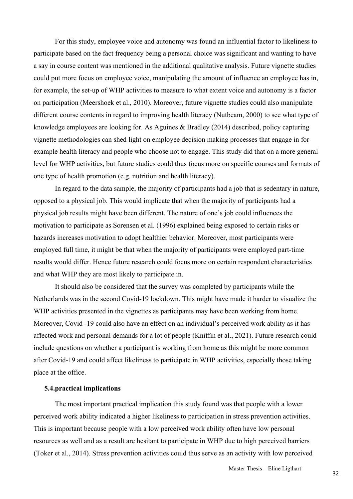For this study, employee voice and autonomy was found an influential factor to likeliness to participate based on the fact frequency being a personal choice was significant and wanting to have a say in course content was mentioned in the additional qualitative analysis. Future vignette studies could put more focus on employee voice, manipulating the amount of influence an employee has in, for example, the set-up of WHP activities to measure to what extent voice and autonomy is a factor on participation (Meershoek et al., 2010). Moreover, future vignette studies could also manipulate different course contents in regard to improving health literacy (Nutbeam, 2000) to see what type of knowledge employees are looking for. As Aguines & Bradley (2014) described, policy capturing vignette methodologies can shed light on employee decision making processes that engage in for example health literacy and people who choose not to engage. This study did that on a more general level for WHP activities, but future studies could thus focus more on specific courses and formats of one type of health promotion (e.g. nutrition and health literacy).

In regard to the data sample, the majority of participants had a job that is sedentary in nature, opposed to a physical job. This would implicate that when the majority of participants had a physical job results might have been different. The nature of one's job could influences the motivation to participate as Sorensen et al. (1996) explained being exposed to certain risks or hazards increases motivation to adopt healthier behavior. Moreover, most participants were employed full time, it might be that when the majority of participants were employed part-time results would differ. Hence future research could focus more on certain respondent characteristics and what WHP they are most likely to participate in.

It should also be considered that the survey was completed by participants while the Netherlands was in the second Covid-19 lockdown. This might have made it harder to visualize the WHP activities presented in the vignettes as participants may have been working from home. Moreover, Covid -19 could also have an effect on an individual's perceived work ability as it has affected work and personal demands for a lot of people (Kniffin et al., 2021). Future research could include questions on whether a participant is working from home as this might be more common after Covid-19 and could affect likeliness to participate in WHP activities, especially those taking place at the office.

## **5.4.practical implications**

The most important practical implication this study found was that people with a lower perceived work ability indicated a higher likeliness to participation in stress prevention activities. This is important because people with a low perceived work ability often have low personal resources as well and as a result are hesitant to participate in WHP due to high perceived barriers (Toker et al., 2014). Stress prevention activities could thus serve as an activity with low perceived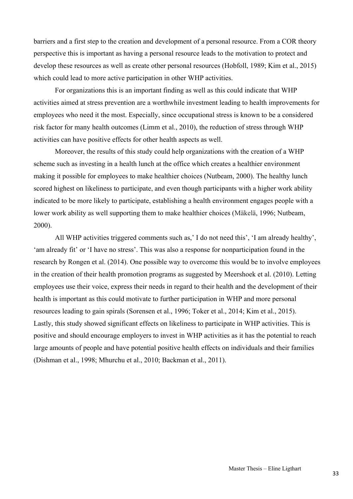barriers and a first step to the creation and development of a personal resource. From a COR theory perspective this is important as having a personal resource leads to the motivation to protect and develop these resources as well as create other personal resources (Hobfoll, 1989; Kim et al., 2015) which could lead to more active participation in other WHP activities.

For organizations this is an important finding as well as this could indicate that WHP activities aimed at stress prevention are a worthwhile investment leading to health improvements for employees who need it the most. Especially, since occupational stress is known to be a considered risk factor for many health outcomes (Limm et al., 2010), the reduction of stress through WHP activities can have positive effects for other health aspects as well.

Moreover, the results of this study could help organizations with the creation of a WHP scheme such as investing in a health lunch at the office which creates a healthier environment making it possible for employees to make healthier choices (Nutbeam, 2000). The healthy lunch scored highest on likeliness to participate, and even though participants with a higher work ability indicated to be more likely to participate, establishing a health environment engages people with a lower work ability as well supporting them to make healthier choices (Mäkelä, 1996; Nutbeam, 2000).

All WHP activities triggered comments such as,' I do not need this', 'I am already healthy', 'am already fit' or 'I have no stress'. This was also a response for nonparticipation found in the research by Rongen et al. (2014). One possible way to overcome this would be to involve employees in the creation of their health promotion programs as suggested by Meershoek et al. (2010). Letting employees use their voice, express their needs in regard to their health and the development of their health is important as this could motivate to further participation in WHP and more personal resources leading to gain spirals (Sorensen et al., 1996; Toker et al., 2014; Kim et al., 2015). Lastly, this study showed significant effects on likeliness to participate in WHP activities. This is positive and should encourage employers to invest in WHP activities as it has the potential to reach large amounts of people and have potential positive health effects on individuals and their families (Dishman et al., 1998; Mhurchu et al., 2010; Backman et al., 2011).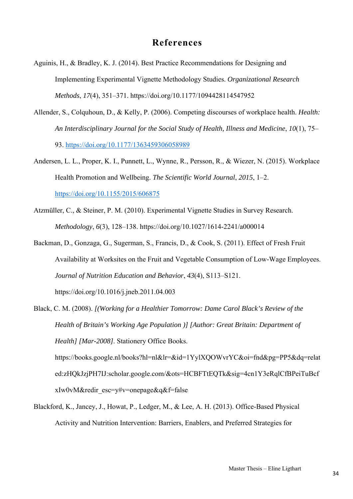## **References**

- Aguinis, H., & Bradley, K. J. (2014). Best Practice Recommendations for Designing and Implementing Experimental Vignette Methodology Studies. *Organizational Research Methods*, *17*(4), 351–371. https://doi.org/10.1177/1094428114547952
- Allender, S., Colquhoun, D., & Kelly, P. (2006). Competing discourses of workplace health. *Health: An Interdisciplinary Journal for the Social Study of Health, Illness and Medicine*, *10*(1), 75– 93. https://doi.org/10.1177/1363459306058989
- Andersen, L. L., Proper, K. I., Punnett, L., Wynne, R., Persson, R., & Wiezer, N. (2015). Workplace Health Promotion and Wellbeing. *The Scientific World Journal*, *2015*, 1–2. https://doi.org/10.1155/2015/606875
- Atzmüller, C., & Steiner, P. M. (2010). Experimental Vignette Studies in Survey Research. *Methodology*, *6*(3), 128–138. https://doi.org/10.1027/1614-2241/a000014
- Backman, D., Gonzaga, G., Sugerman, S., Francis, D., & Cook, S. (2011). Effect of Fresh Fruit Availability at Worksites on the Fruit and Vegetable Consumption of Low-Wage Employees. *Journal of Nutrition Education and Behavior*, *43*(4), S113–S121. https://doi.org/10.1016/j.jneb.2011.04.003
- Black, C. M. (2008). *[(Working for a Healthier Tomorrow: Dame Carol Black's Review of the Health of Britain's Working Age Population )] [Author: Great Britain: Department of Health] [Mar-2008]*. Stationery Office Books. https://books.google.nl/books?hl=nl&lr=&id=1YylXQOWvrYC&oi=fnd&pg=PP5&dq=relat ed:zHQkJzjPH7IJ:scholar.google.com/&ots=HCBFTtEQTk&sig=4cn1Y3eRqlCfBPeiTuBcf xIw0vM&redir\_esc=y#v=onepage&q&f=false
- Blackford, K., Jancey, J., Howat, P., Ledger, M., & Lee, A. H. (2013). Office-Based Physical Activity and Nutrition Intervention: Barriers, Enablers, and Preferred Strategies for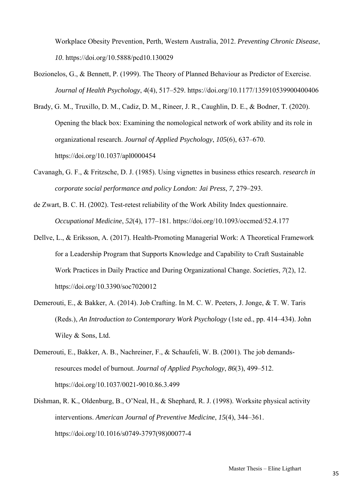Workplace Obesity Prevention, Perth, Western Australia, 2012. *Preventing Chronic Disease*, *10*. https://doi.org/10.5888/pcd10.130029

- Bozionelos, G., & Bennett, P. (1999). The Theory of Planned Behaviour as Predictor of Exercise. *Journal of Health Psychology*, *4*(4), 517–529. https://doi.org/10.1177/135910539900400406
- Brady, G. M., Truxillo, D. M., Cadiz, D. M., Rineer, J. R., Caughlin, D. E., & Bodner, T. (2020). Opening the black box: Examining the nomological network of work ability and its role in organizational research. *Journal of Applied Psychology*, *105*(6), 637–670. https://doi.org/10.1037/apl0000454
- Cavanagh, G. F., & Fritzsche, D. J. (1985). Using vignettes in business ethics research. *research in corporate social performance and policy London: Jai Press*, *7*, 279–293.
- de Zwart, B. C. H. (2002). Test-retest reliability of the Work Ability Index questionnaire. *Occupational Medicine*, *52*(4), 177–181. https://doi.org/10.1093/occmed/52.4.177
- Dellve, L., & Eriksson, A. (2017). Health-Promoting Managerial Work: A Theoretical Framework for a Leadership Program that Supports Knowledge and Capability to Craft Sustainable Work Practices in Daily Practice and During Organizational Change. *Societies*, *7*(2), 12. https://doi.org/10.3390/soc7020012
- Demerouti, E., & Bakker, A. (2014). Job Crafting. In M. C. W. Peeters, J. Jonge, & T. W. Taris (Reds.), *An Introduction to Contemporary Work Psychology* (1ste ed., pp. 414–434). John Wiley & Sons, Ltd.
- Demerouti, E., Bakker, A. B., Nachreiner, F., & Schaufeli, W. B. (2001). The job demandsresources model of burnout. *Journal of Applied Psychology*, *86*(3), 499–512. https://doi.org/10.1037/0021-9010.86.3.499
- Dishman, R. K., Oldenburg, B., O'Neal, H., & Shephard, R. J. (1998). Worksite physical activity interventions. *American Journal of Preventive Medicine*, *15*(4), 344–361. https://doi.org/10.1016/s0749-3797(98)00077-4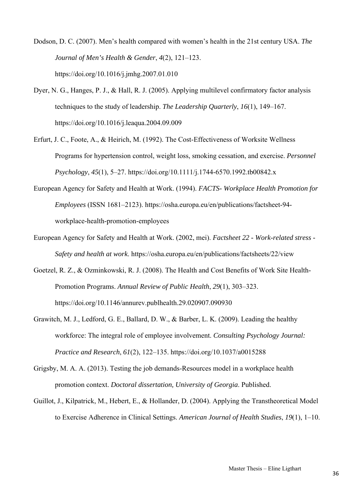- Dodson, D. C. (2007). Men's health compared with women's health in the 21st century USA. *The Journal of Men's Health & Gender*, *4*(2), 121–123. https://doi.org/10.1016/j.jmhg.2007.01.010
- Dyer, N. G., Hanges, P. J., & Hall, R. J. (2005). Applying multilevel confirmatory factor analysis techniques to the study of leadership. *The Leadership Quarterly*, *16*(1), 149–167. https://doi.org/10.1016/j.leaqua.2004.09.009
- Erfurt, J. C., Foote, A., & Heirich, M. (1992). The Cost-Effectiveness of Worksite Wellness Programs for hypertension control, weight loss, smoking cessation, and exercise. *Personnel Psychology*, *45*(1), 5–27. https://doi.org/10.1111/j.1744-6570.1992.tb00842.x
- European Agency for Safety and Health at Work. (1994). *FACTS- Workplace Health Promotion for Employees* (ISSN 1681–2123). https://osha.europa.eu/en/publications/factsheet-94 workplace-health-promotion-employees
- European Agency for Safety and Health at Work. (2002, mei). *Factsheet 22 Work-related stress Safety and health at work*. https://osha.europa.eu/en/publications/factsheets/22/view
- Goetzel, R. Z., & Ozminkowski, R. J. (2008). The Health and Cost Benefits of Work Site Health-Promotion Programs. *Annual Review of Public Health*, *29*(1), 303–323. https://doi.org/10.1146/annurev.publhealth.29.020907.090930
- Grawitch, M. J., Ledford, G. E., Ballard, D. W., & Barber, L. K. (2009). Leading the healthy workforce: The integral role of employee involvement. *Consulting Psychology Journal: Practice and Research*, *61*(2), 122–135. https://doi.org/10.1037/a0015288
- Grigsby, M. A. A. (2013). Testing the job demands-Resources model in a workplace health promotion context. *Doctoral dissertation, University of Georgia*. Published.
- Guillot, J., Kilpatrick, M., Hebert, E., & Hollander, D. (2004). Applying the Transtheoretical Model to Exercise Adherence in Clinical Settings. *American Journal of Health Studies*, *19*(1), 1–10.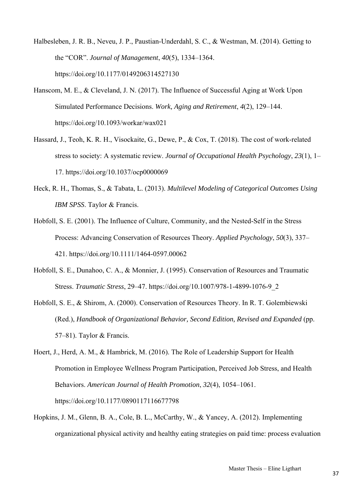- Halbesleben, J. R. B., Neveu, J. P., Paustian-Underdahl, S. C., & Westman, M. (2014). Getting to the "COR". *Journal of Management*, *40*(5), 1334–1364. https://doi.org/10.1177/0149206314527130
- Hanscom, M. E., & Cleveland, J. N. (2017). The Influence of Successful Aging at Work Upon Simulated Performance Decisions. *Work, Aging and Retirement*, *4*(2), 129–144. https://doi.org/10.1093/workar/wax021
- Hassard, J., Teoh, K. R. H., Visockaite, G., Dewe, P., & Cox, T. (2018). The cost of work-related stress to society: A systematic review. *Journal of Occupational Health Psychology*, *23*(1), 1– 17. https://doi.org/10.1037/ocp0000069
- Heck, R. H., Thomas, S., & Tabata, L. (2013). *Multilevel Modeling of Categorical Outcomes Using IBM SPSS*. Taylor & Francis.
- Hobfoll, S. E. (2001). The Influence of Culture, Community, and the Nested‐Self in the Stress Process: Advancing Conservation of Resources Theory. *Applied Psychology*, *50*(3), 337– 421. https://doi.org/10.1111/1464-0597.00062
- Hobfoll, S. E., Dunahoo, C. A., & Monnier, J. (1995). Conservation of Resources and Traumatic Stress. *Traumatic Stress*, 29–47. https://doi.org/10.1007/978-1-4899-1076-9\_2
- Hobfoll, S. E., & Shirom, A. (2000). Conservation of Resources Theory. In R. T. Golembiewski (Red.), *Handbook of Organizational Behavior, Second Edition, Revised and Expanded* (pp. 57–81). Taylor & Francis.
- Hoert, J., Herd, A. M., & Hambrick, M. (2016). The Role of Leadership Support for Health Promotion in Employee Wellness Program Participation, Perceived Job Stress, and Health Behaviors. *American Journal of Health Promotion*, *32*(4), 1054–1061. https://doi.org/10.1177/0890117116677798
- Hopkins, J. M., Glenn, B. A., Cole, B. L., McCarthy, W., & Yancey, A. (2012). Implementing organizational physical activity and healthy eating strategies on paid time: process evaluation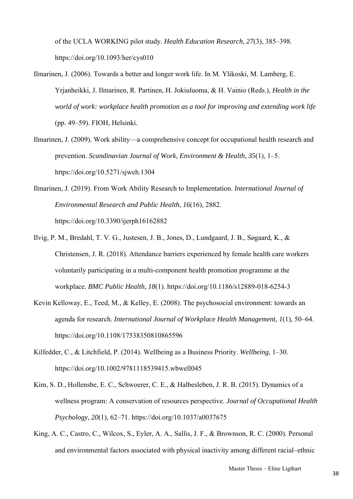of the UCLA WORKING pilot study. *Health Education Research*, *27*(3), 385–398. https://doi.org/10.1093/her/cys010

- Ilmarinen, J. (2006). Towards a better and longer work life. In M. Ylikoski, M. Lamberg, E. Yrjanheikki, J. Ilmarinen, R. Partinen, H. Jokiuluoma, & H. Vainio (Reds.), *Health in the world of work: workplace health promotion as a tool for improving and extending work life* (pp. 49–59). FIOH, Helsinki.
- Ilmarinen, J. (2009). Work ability—a comprehensive concept for occupational health research and prevention. *Scandinavian Journal of Work, Environment & Health*, *35*(1), 1–5. https://doi.org/10.5271/sjweh.1304
- Ilmarinen, J. (2019). From Work Ability Research to Implementation. *International Journal of Environmental Research and Public Health*, *16*(16), 2882. https://doi.org/10.3390/ijerph16162882
- Ilvig, P. M., Bredahl, T. V. G., Justesen, J. B., Jones, D., Lundgaard, J. B., Søgaard, K., & Christensen, J. R. (2018). Attendance barriers experienced by female health care workers voluntarily participating in a multi-component health promotion programme at the workplace. *BMC Public Health*, *18*(1). https://doi.org/10.1186/s12889-018-6254-3
- Kevin Kelloway, E., Teed, M., & Kelley, E. (2008). The psychosocial environment: towards an agenda for research. *International Journal of Workplace Health Management*, *1*(1), 50–64. https://doi.org/10.1108/17538350810865596
- Kilfedder, C., & Litchfield, P. (2014). Wellbeing as a Business Priority. *Wellbeing*, 1–30. https://doi.org/10.1002/9781118539415.wbwell045
- Kim, S. D., Hollensbe, E. C., Schwoerer, C. E., & Halbesleben, J. R. B. (2015). Dynamics of a wellness program: A conservation of resources perspective. *Journal of Occupational Health Psychology*, *20*(1), 62–71. https://doi.org/10.1037/a0037675
- King, A. C., Castro, C., Wilcox, S., Eyler, A. A., Sallis, J. F., & Brownson, R. C. (2000). Personal and environmental factors associated with physical inactivity among different racial–ethnic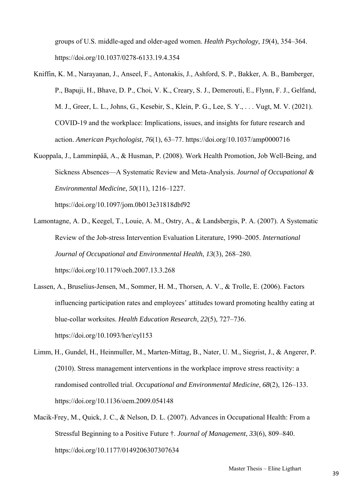groups of U.S. middle-aged and older-aged women. *Health Psychology*, *19*(4), 354–364. https://doi.org/10.1037/0278-6133.19.4.354

- Kniffin, K. M., Narayanan, J., Anseel, F., Antonakis, J., Ashford, S. P., Bakker, A. B., Bamberger, P., Bapuji, H., Bhave, D. P., Choi, V. K., Creary, S. J., Demerouti, E., Flynn, F. J., Gelfand, M. J., Greer, L. L., Johns, G., Kesebir, S., Klein, P. G., Lee, S. Y., . . . Vugt, M. V. (2021). COVID-19 and the workplace: Implications, issues, and insights for future research and action. *American Psychologist*, *76*(1), 63–77. https://doi.org/10.1037/amp0000716
- Kuoppala, J., Lamminpää, A., & Husman, P. (2008). Work Health Promotion, Job Well-Being, and Sickness Absences—A Systematic Review and Meta-Analysis. *Journal of Occupational & Environmental Medicine*, *50*(11), 1216–1227.

https://doi.org/10.1097/jom.0b013e31818dbf92

- Lamontagne, A. D., Keegel, T., Louie, A. M., Ostry, A., & Landsbergis, P. A. (2007). A Systematic Review of the Job-stress Intervention Evaluation Literature, 1990–2005. *International Journal of Occupational and Environmental Health*, *13*(3), 268–280. https://doi.org/10.1179/oeh.2007.13.3.268
- Lassen, A., Bruselius-Jensen, M., Sommer, H. M., Thorsen, A. V., & Trolle, E. (2006). Factors influencing participation rates and employees' attitudes toward promoting healthy eating at blue-collar worksites. *Health Education Research*, *22*(5), 727–736. https://doi.org/10.1093/her/cyl153
- Limm, H., Gundel, H., Heinmuller, M., Marten-Mittag, B., Nater, U. M., Siegrist, J., & Angerer, P. (2010). Stress management interventions in the workplace improve stress reactivity: a randomised controlled trial. *Occupational and Environmental Medicine*, *68*(2), 126–133. https://doi.org/10.1136/oem.2009.054148
- Macik-Frey, M., Quick, J. C., & Nelson, D. L. (2007). Advances in Occupational Health: From a Stressful Beginning to a Positive Future †. *Journal of Management*, *33*(6), 809–840. https://doi.org/10.1177/0149206307307634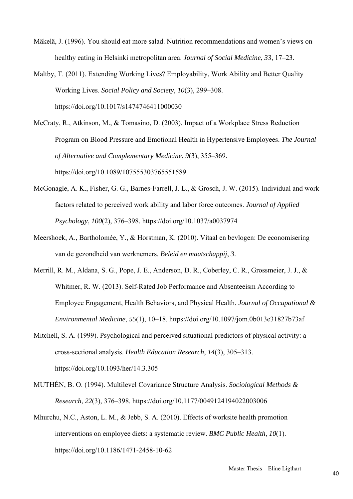- Mäkelä, J. (1996). You should eat more salad. Nutrition recommendations and women's views on healthy eating in Helsinki metropolitan area. *Journal of Social Medicine*, *33*, 17–23.
- Maltby, T. (2011). Extending Working Lives? Employability, Work Ability and Better Quality Working Lives. *Social Policy and Society*, *10*(3), 299–308. https://doi.org/10.1017/s1474746411000030
- McCraty, R., Atkinson, M., & Tomasino, D. (2003). Impact of a Workplace Stress Reduction Program on Blood Pressure and Emotional Health in Hypertensive Employees. *The Journal of Alternative and Complementary Medicine*, *9*(3), 355–369. https://doi.org/10.1089/107555303765551589
- McGonagle, A. K., Fisher, G. G., Barnes-Farrell, J. L., & Grosch, J. W. (2015). Individual and work factors related to perceived work ability and labor force outcomes. *Journal of Applied Psychology*, *100*(2), 376–398. https://doi.org/10.1037/a0037974
- Meershoek, A., Bartholomée, Y., & Horstman, K. (2010). Vitaal en bevlogen: De economisering van de gezondheid van werknemers. *Beleid en maatschappij*, *3*.
- Merrill, R. M., Aldana, S. G., Pope, J. E., Anderson, D. R., Coberley, C. R., Grossmeier, J. J., & Whitmer, R. W. (2013). Self-Rated Job Performance and Absenteeism According to Employee Engagement, Health Behaviors, and Physical Health. *Journal of Occupational & Environmental Medicine*, *55*(1), 10–18. https://doi.org/10.1097/jom.0b013e31827b73af
- Mitchell, S. A. (1999). Psychological and perceived situational predictors of physical activity: a cross-sectional analysis. *Health Education Research*, *14*(3), 305–313. https://doi.org/10.1093/her/14.3.305
- MUTHÉN, B. O. (1994). Multilevel Covariance Structure Analysis. *Sociological Methods & Research*, *22*(3), 376–398. https://doi.org/10.1177/0049124194022003006
- Mhurchu, N.C., Aston, L. M., & Jebb, S. A. (2010). Effects of worksite health promotion interventions on employee diets: a systematic review. *BMC Public Health*, *10*(1). https://doi.org/10.1186/1471-2458-10-62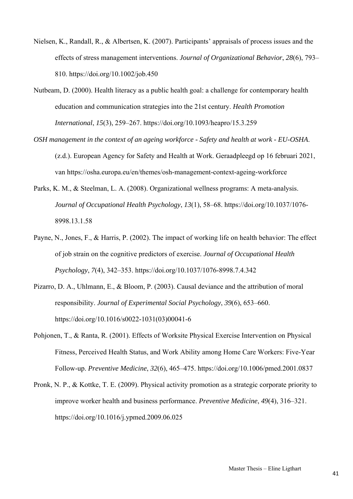- Nielsen, K., Randall, R., & Albertsen, K. (2007). Participants' appraisals of process issues and the effects of stress management interventions. *Journal of Organizational Behavior*, *28*(6), 793– 810. https://doi.org/10.1002/job.450
- Nutbeam, D. (2000). Health literacy as a public health goal: a challenge for contemporary health education and communication strategies into the 21st century. *Health Promotion International*, *15*(3), 259–267. https://doi.org/10.1093/heapro/15.3.259
- *OSH management in the context of an ageing workforce Safety and health at work EU-OSHA*. (z.d.). European Agency for Safety and Health at Work. Geraadpleegd op 16 februari 2021, van https://osha.europa.eu/en/themes/osh-management-context-ageing-workforce
- Parks, K. M., & Steelman, L. A. (2008). Organizational wellness programs: A meta-analysis. *Journal of Occupational Health Psychology*, *13*(1), 58–68. https://doi.org/10.1037/1076- 8998.13.1.58
- Payne, N., Jones, F., & Harris, P. (2002). The impact of working life on health behavior: The effect of job strain on the cognitive predictors of exercise. *Journal of Occupational Health Psychology*, *7*(4), 342–353. https://doi.org/10.1037/1076-8998.7.4.342
- Pizarro, D. A., Uhlmann, E., & Bloom, P. (2003). Causal deviance and the attribution of moral responsibility. *Journal of Experimental Social Psychology*, *39*(6), 653–660. https://doi.org/10.1016/s0022-1031(03)00041-6
- Pohjonen, T., & Ranta, R. (2001). Effects of Worksite Physical Exercise Intervention on Physical Fitness, Perceived Health Status, and Work Ability among Home Care Workers: Five-Year Follow-up. *Preventive Medicine*, *32*(6), 465–475. https://doi.org/10.1006/pmed.2001.0837
- Pronk, N. P., & Kottke, T. E. (2009). Physical activity promotion as a strategic corporate priority to improve worker health and business performance. *Preventive Medicine*, *49*(4), 316–321. https://doi.org/10.1016/j.ypmed.2009.06.025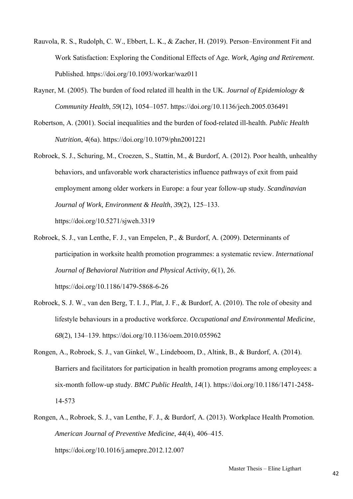- Rauvola, R. S., Rudolph, C. W., Ebbert, L. K., & Zacher, H. (2019). Person–Environment Fit and Work Satisfaction: Exploring the Conditional Effects of Age. *Work, Aging and Retirement*. Published. https://doi.org/10.1093/workar/waz011
- Rayner, M. (2005). The burden of food related ill health in the UK. *Journal of Epidemiology & Community Health*, *59*(12), 1054–1057. https://doi.org/10.1136/jech.2005.036491
- Robertson, A. (2001). Social inequalities and the burden of food-related ill-health. *Public Health Nutrition*, *4*(6a). https://doi.org/10.1079/phn2001221
- Robroek, S. J., Schuring, M., Croezen, S., Stattin, M., & Burdorf, A. (2012). Poor health, unhealthy behaviors, and unfavorable work characteristics influence pathways of exit from paid employment among older workers in Europe: a four year follow-up study. *Scandinavian Journal of Work, Environment & Health*, *39*(2), 125–133. https://doi.org/10.5271/sjweh.3319
- Robroek, S. J., van Lenthe, F. J., van Empelen, P., & Burdorf, A. (2009). Determinants of participation in worksite health promotion programmes: a systematic review. *International Journal of Behavioral Nutrition and Physical Activity*, *6*(1), 26. https://doi.org/10.1186/1479-5868-6-26
- Robroek, S. J. W., van den Berg, T. I. J., Plat, J. F., & Burdorf, A. (2010). The role of obesity and lifestyle behaviours in a productive workforce. *Occupational and Environmental Medicine*, *68*(2), 134–139. https://doi.org/10.1136/oem.2010.055962
- Rongen, A., Robroek, S. J., van Ginkel, W., Lindeboom, D., Altink, B., & Burdorf, A. (2014). Barriers and facilitators for participation in health promotion programs among employees: a six-month follow-up study. *BMC Public Health*, *14*(1). https://doi.org/10.1186/1471-2458- 14-573
- Rongen, A., Robroek, S. J., van Lenthe, F. J., & Burdorf, A. (2013). Workplace Health Promotion. *American Journal of Preventive Medicine*, *44*(4), 406–415. https://doi.org/10.1016/j.amepre.2012.12.007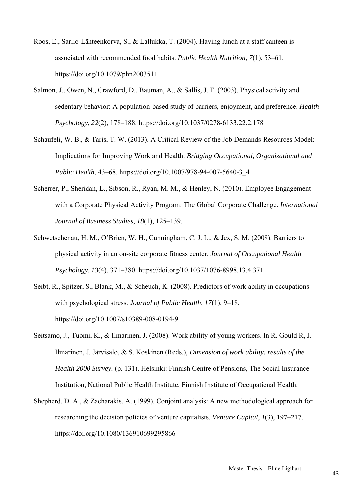- Roos, E., Sarlio-Lähteenkorva, S., & Lallukka, T. (2004). Having lunch at a staff canteen is associated with recommended food habits. *Public Health Nutrition*, *7*(1), 53–61. https://doi.org/10.1079/phn2003511
- Salmon, J., Owen, N., Crawford, D., Bauman, A., & Sallis, J. F. (2003). Physical activity and sedentary behavior: A population-based study of barriers, enjoyment, and preference. *Health Psychology*, *22*(2), 178–188. https://doi.org/10.1037/0278-6133.22.2.178
- Schaufeli, W. B., & Taris, T. W. (2013). A Critical Review of the Job Demands-Resources Model: Implications for Improving Work and Health. *Bridging Occupational, Organizational and Public Health*, 43–68. https://doi.org/10.1007/978-94-007-5640-3\_4
- Scherrer, P., Sheridan, L., Sibson, R., Ryan, M. M., & Henley, N. (2010). Employee Engagement with a Corporate Physical Activity Program: The Global Corporate Challenge. *International Journal of Business Studies*, *18*(1), 125–139.
- Schwetschenau, H. M., O'Brien, W. H., Cunningham, C. J. L., & Jex, S. M. (2008). Barriers to physical activity in an on-site corporate fitness center. *Journal of Occupational Health Psychology*, *13*(4), 371–380. https://doi.org/10.1037/1076-8998.13.4.371
- Seibt, R., Spitzer, S., Blank, M., & Scheuch, K. (2008). Predictors of work ability in occupations with psychological stress. *Journal of Public Health*, *17*(1), 9–18. https://doi.org/10.1007/s10389-008-0194-9
- Seitsamo, J., Tuomi, K., & Ilmarinen, J. (2008). Work ability of young workers. In R. Gould R, J. Ilmarinen, J. Järvisalo, & S. Koskinen (Reds.), *Dimension of work ability: results of the Health 2000 Survey.* (p. 131). Helsinki: Finnish Centre of Pensions, The Social Insurance Institution, National Public Health Institute, Finnish Institute of Occupational Health.
- Shepherd, D. A., & Zacharakis, A. (1999). Conjoint analysis: A new methodological approach for researching the decision policies of venture capitalists. *Venture Capital*, *1*(3), 197–217. https://doi.org/10.1080/136910699295866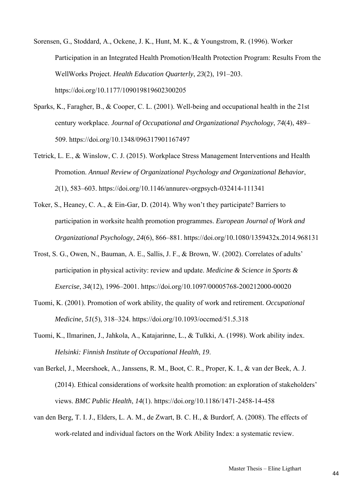Sorensen, G., Stoddard, A., Ockene, J. K., Hunt, M. K., & Youngstrom, R. (1996). Worker Participation in an Integrated Health Promotion/Health Protection Program: Results From the WellWorks Project. *Health Education Quarterly*, *23*(2), 191–203. https://doi.org/10.1177/109019819602300205

- Sparks, K., Faragher, B., & Cooper, C. L. (2001). Well-being and occupational health in the 21st century workplace. *Journal of Occupational and Organizational Psychology*, *74*(4), 489– 509. https://doi.org/10.1348/096317901167497
- Tetrick, L. E., & Winslow, C. J. (2015). Workplace Stress Management Interventions and Health Promotion. *Annual Review of Organizational Psychology and Organizational Behavior*, *2*(1), 583–603. https://doi.org/10.1146/annurev-orgpsych-032414-111341
- Toker, S., Heaney, C. A., & Ein-Gar, D. (2014). Why won't they participate? Barriers to participation in worksite health promotion programmes. *European Journal of Work and Organizational Psychology*, *24*(6), 866–881. https://doi.org/10.1080/1359432x.2014.968131
- Trost, S. G., Owen, N., Bauman, A. E., Sallis, J. F., & Brown, W. (2002). Correlates of adults' participation in physical activity: review and update. *Medicine & Science in Sports & Exercise*, *34*(12), 1996–2001. https://doi.org/10.1097/00005768-200212000-00020
- Tuomi, K. (2001). Promotion of work ability, the quality of work and retirement. *Occupational Medicine*, *51*(5), 318–324. https://doi.org/10.1093/occmed/51.5.318
- Tuomi, K., Ilmarinen, J., Jahkola, A., Katajarinne, L., & Tulkki, A. (1998). Work ability index. *Helsinki: Finnish Institute of Occupational Health*, *19*.

van Berkel, J., Meershoek, A., Janssens, R. M., Boot, C. R., Proper, K. I., & van der Beek, A. J. (2014). Ethical considerations of worksite health promotion: an exploration of stakeholders' views. *BMC Public Health*, *14*(1). https://doi.org/10.1186/1471-2458-14-458

van den Berg, T. I. J., Elders, L. A. M., de Zwart, B. C. H., & Burdorf, A. (2008). The effects of work-related and individual factors on the Work Ability Index: a systematic review.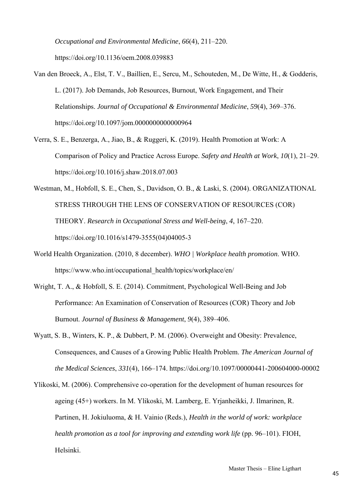*Occupational and Environmental Medicine*, *66*(4), 211–220. https://doi.org/10.1136/oem.2008.039883

- Van den Broeck, A., Elst, T. V., Baillien, E., Sercu, M., Schouteden, M., De Witte, H., & Godderis, L. (2017). Job Demands, Job Resources, Burnout, Work Engagement, and Their Relationships. *Journal of Occupational & Environmental Medicine*, *59*(4), 369–376. https://doi.org/10.1097/jom.0000000000000964
- Verra, S. E., Benzerga, A., Jiao, B., & Ruggeri, K. (2019). Health Promotion at Work: A Comparison of Policy and Practice Across Europe. *Safety and Health at Work*, *10*(1), 21–29. https://doi.org/10.1016/j.shaw.2018.07.003
- Westman, M., Hobfoll, S. E., Chen, S., Davidson, O. B., & Laski, S. (2004). ORGANIZATIONAL STRESS THROUGH THE LENS OF CONSERVATION OF RESOURCES (COR) THEORY. *Research in Occupational Stress and Well-being*, *4*, 167–220. https://doi.org/10.1016/s1479-3555(04)04005-3
- World Health Organization. (2010, 8 december). *WHO | Workplace health promotion*. WHO. https://www.who.int/occupational\_health/topics/workplace/en/
- Wright, T. A., & Hobfoll, S. E. (2014). Commitment, Psychological Well-Being and Job Performance: An Examination of Conservation of Resources (COR) Theory and Job Burnout. *Journal of Business & Management*, *9*(4), 389–406.
- Wyatt, S. B., Winters, K. P., & Dubbert, P. M. (2006). Overweight and Obesity: Prevalence, Consequences, and Causes of a Growing Public Health Problem. *The American Journal of the Medical Sciences*, *331*(4), 166–174. https://doi.org/10.1097/00000441-200604000-00002
- Ylikoski, M. (2006). Comprehensive co-operation for the development of human resources for ageing (45+) workers. In M. Ylikoski, M. Lamberg, E. Yrjanheikki, J. Ilmarinen, R. Partinen, H. Jokiuluoma, & H. Vainio (Reds.), *Health in the world of work: workplace health promotion as a tool for improving and extending work life* (pp. 96–101). FIOH, Helsinki.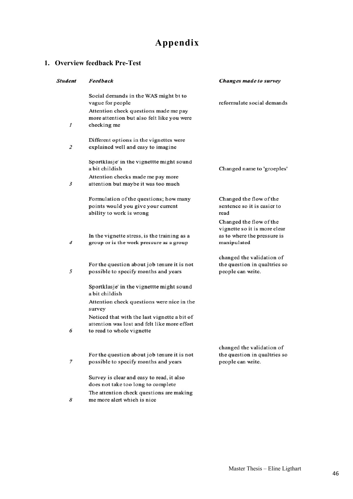## **Appendix**

## **1. Overview feedback Pre-Test**

| <b>Student</b> | Feedback                                                                                                                                                                                                                                         | Changes made to survey                                                                    |
|----------------|--------------------------------------------------------------------------------------------------------------------------------------------------------------------------------------------------------------------------------------------------|-------------------------------------------------------------------------------------------|
| 1              | Social demands in the WAS might bt to<br>vague for people<br>Attention check questions made me pay<br>more attention but also felt like you were<br>checking me                                                                                  | reformulate social demands                                                                |
| 2              | Different options in the vignettes were<br>explained well and easy to imagine                                                                                                                                                                    |                                                                                           |
| 3              | Sportklasje' in the vignettte might sound<br>a bit childish<br>Attention checks made me pay more<br>attention but maybe it was too much                                                                                                          | Changed name to 'groeples'                                                                |
|                | Formulation of the questions; how many<br>points would you give your current<br>ability to work is wrong                                                                                                                                         | Changed the flow of the<br>sentence so it is easier to<br>read<br>Changed the flow of the |
| 4              | In the vignette stress, is the training as a<br>group or is the work pressure as a group                                                                                                                                                         | vignette so it is more clear<br>as to where the pressure is<br>manipulated                |
| 5              | For the question about job tenure it is not<br>possible to specify months and years                                                                                                                                                              | changed the validation of<br>the question in qualtrics so<br>people can write.            |
| 6              | Sportklasje' in the vignettte might sound<br>a bit childish<br>Attention check questions were nice in the<br>survey<br>Noticed that with the last vignette a bit of<br>attention was lost and felt like more effort<br>to read to whole vignette |                                                                                           |
| 7              | For the question about job tenure it is not<br>possible to specify months and years                                                                                                                                                              | changed the validation of<br>the question in qualtrics so<br>people can write.            |
| 8              | Survey is clear and easy to read, it also<br>does not take too long to complete<br>The attention check questions are making<br>me more alert which is nice                                                                                       |                                                                                           |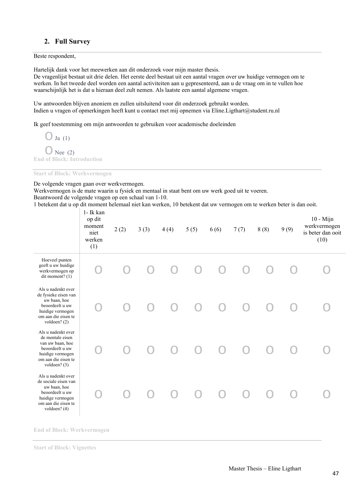## **2. Full Survey**

Beste respondent,

Hartelijk dank voor het meewerken aan dit onderzoek voor mijn master thesis.

De vragenlijst bestaat uit drie delen. Het eerste deel bestaat uit een aantal vragen over uw huidige vermogen om te werken. In het tweede deel worden een aantal activiteiten aan u gepresenteerd, aan u de vraag om in te vullen hoe waarschijnlijk het is dat u hieraan deel zult nemen. Als laatste een aantal algemene vragen.

Uw antwoorden blijven anoniem en zullen uitsluitend voor dit onderzoek gebruikt worden. Indien u vragen of opmerkingen heeft kunt u contact met mij opnemen via Eline.Ligthart@student.ru.nl

Ik geef toestemming om mijn antwoorden te gebruiken voor academische doeleinden

 $\bigcirc$  Ja (1)  $\bigcirc$  Nee (2) **End of Block: Introduction** 

**Start of Block: Werkvermogen** 

De volgende vragen gaan over werkvermogen.

Werkvermogen is de mate waarin u fysiek en mentaal in staat bent om uw werk goed uit te voeren. Beantwoord de volgende vragen op een schaal van 1-10.

1 betekent dat u op dit moment helemaal niet kan werken, 10 betekent dat uw vermogen om te werken beter is dan ooit.

|                                                                                                                                            | 1- Ik kan<br>op dit<br>moment<br>niet<br>werken<br>(1) | 2(2) | 3(3) | 4(4) | 5(5) | 6(6) | 7(7) | 8(8) | 9(9) | $10 - Mijn$<br>werkvermogen<br>is beter dan ooit<br>(10) |
|--------------------------------------------------------------------------------------------------------------------------------------------|--------------------------------------------------------|------|------|------|------|------|------|------|------|----------------------------------------------------------|
| Hoeveel punten<br>geeft u uw huidige<br>werkvermogen op<br>dit moment? $(1)$                                                               |                                                        |      |      |      |      |      |      |      |      |                                                          |
| Als u nadenkt over<br>de fysieke eisen van<br>uw baan, hoe<br>beoordeelt u uw<br>huidige vermogen<br>om aan die eisen te<br>voldoen? (2)   |                                                        |      |      |      |      |      |      |      |      |                                                          |
| Als u nadenkt over<br>de mentale eisen<br>van uw baan, hoe<br>beoordeelt u uw<br>huidige vermogen<br>om aan die eisen te<br>voldoen? $(3)$ |                                                        |      |      |      |      |      |      |      |      |                                                          |
| Als u nadenkt over<br>de sociale eisen van<br>uw baan, hoe<br>beoordeelt u uw<br>huidige vermogen<br>om aan die eisen te<br>voldoen? (4)   |                                                        |      |      |      |      |      |      |      |      |                                                          |

**End of Block: Werkvermogen** 

**Start of Block: Vignettes**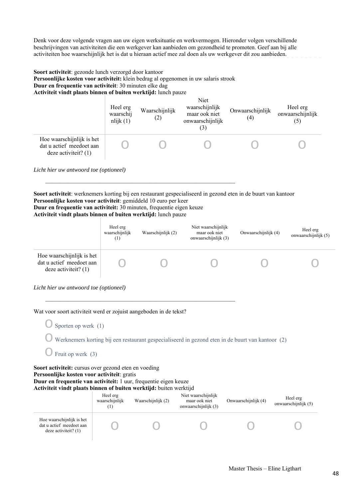Denk voor deze volgende vragen aan uw eigen werksituatie en werkvermogen. Hieronder volgen verschillende beschrijvingen van activiteiten die een werkgever kan aanbieden om gezondheid te promoten. Geef aan bij alle activiteiten hoe waarschijnlijk het is dat u hieraan actief mee zal doen als uw werkgever dit zou aanbieden.

**Soort activiteit**: gezonde lunch verzorgd door kantoor **Persoonlijke kosten voor activiteit:** klein bedrag al opgenomen in uw salaris strook **Duur en frequentie van activiteit**: 30 minuten elke dag **Activiteit vindt plaats binnen of buiten werktijd:** lunch pauze

\_\_\_\_\_\_\_\_\_\_\_\_\_\_\_\_\_\_\_\_\_\_\_\_\_\_\_\_\_\_\_\_\_\_\_\_\_\_\_\_\_\_\_\_\_\_\_\_\_\_\_\_\_\_\_\_\_\_\_\_\_\_\_\_

 $\mathcal{L}_\text{max} = \frac{1}{2} \sum_{i=1}^n \mathcal{L}_\text{max}(\mathbf{z}_i - \mathbf{z}_i)$ 

|                                                                               | Heel erg<br>waarschij<br>nlijk(1) | Waarschijnlijk<br>(2) | Niet<br>waarschijnlijk<br>maar ook niet<br>onwaarschijnlijk<br>(3) | Onwaarschijnlijk<br>$\left(4\right)$ | Heel erg<br>onwaarschijnlijk<br>(5) |
|-------------------------------------------------------------------------------|-----------------------------------|-----------------------|--------------------------------------------------------------------|--------------------------------------|-------------------------------------|
| Hoe waarschijnlijk is het<br>dat u actief meedoet aan<br>deze activiteit? (1) |                                   |                       |                                                                    |                                      |                                     |

*Licht hier uw antwoord toe (optioneel)* 

**Soort activiteit**: werknemers korting bij een restaurant gespecialiseerd in gezond eten in de buurt van kantoor **Persoonlijke kosten voor activiteit**: gemiddeld 10 euro per keer **Duur en frequentie van activiteit:** 30 minuten, frequentie eigen keuze **Activiteit vindt plaats binnen of buiten werktijd:** lunch pauze

|                                                                                 | Heel erg<br>waarschijnlijk<br>(1) | Waarschijnlijk (2) | Niet waarschijnlijk<br>maar ook niet<br>onwaarschijnlijk (3) | Onwaarschijnlijk (4) | Heel erg<br>onwaarschijnlijk (5) |
|---------------------------------------------------------------------------------|-----------------------------------|--------------------|--------------------------------------------------------------|----------------------|----------------------------------|
| Hoe waarschijnlijk is het<br>dat u actief meedoet aan<br>deze activiteit? $(1)$ |                                   |                    |                                                              |                      |                                  |

*Licht hier uw antwoord toe (optioneel)* 

Wat voor soort activiteit werd er zojuist aangeboden in de tekst?

 $\bigcirc$  Sporten op werk (1)

 $\bigcirc$  Werknemers korting bij een restaurant gespecialiseerd in gezond eten in de buurt van kantoor (2)

 $\bigcirc$  Fruit op werk (3)

Soort activiteit: cursus over gezond eten en voeding **Persoonlijke kosten voor activiteit**: gratis **Duur en frequentie van activiteit:** 1 uur, frequentie eigen keuze **Activiteit vindt plaats binnen of buiten werktijd:** buiten werktijd

|                                                                                 | Heel erg<br>waarschijnlijk<br>$^{(1)}$ | Waarschijnlijk (2) | Niet waarschijnlijk<br>maar ook niet<br>onwaarschijnlijk (3) | Onwaarschijnlijk (4) | Heel erg<br>onwaarschijnlijk (5) |
|---------------------------------------------------------------------------------|----------------------------------------|--------------------|--------------------------------------------------------------|----------------------|----------------------------------|
| Hoe waarschijnlijk is het<br>dat u actief meedoet aan<br>deze activiteit? $(1)$ |                                        |                    |                                                              |                      |                                  |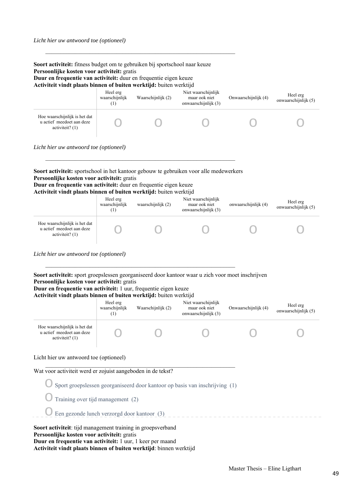| Licht hier uw antwoord toe (optioneel) |                                             |                                                                                                                                         |                                                                                               |
|----------------------------------------|---------------------------------------------|-----------------------------------------------------------------------------------------------------------------------------------------|-----------------------------------------------------------------------------------------------|
|                                        |                                             |                                                                                                                                         |                                                                                               |
|                                        | Persoonlijke kosten voor activiteit: gratis | Duur en frequentie van activiteit: duur en frequentie eigen keuze<br>Activiteit vindt plaats binnen of buiten werktijd: buiten werktijd | <b>Soort activiteit:</b> sportschool in het kantoor gebouw te gebruiken voor alle medewerkers |

\_\_\_\_\_\_\_\_\_\_\_\_\_\_\_\_\_\_\_\_\_\_\_\_\_\_\_\_\_\_\_\_\_\_\_\_\_\_\_\_\_\_\_\_\_\_\_\_\_\_\_\_\_\_\_\_\_\_\_\_\_\_\_\_

|                                                                                 | TICCI CIE<br>waarschijnlijk | waarschijnlijk $(2)$ | імісі маатынішіік<br>maar ook niet<br>onwaarschijnlijk (3) | onwaarschijnlijk (4) | Heel erg<br>onwaarschijnlijk (5) |
|---------------------------------------------------------------------------------|-----------------------------|----------------------|------------------------------------------------------------|----------------------|----------------------------------|
| Hoe waarschijnlijk is het dat<br>u actief meedoet aan deze<br>activiteit? $(1)$ |                             |                      |                                                            |                      |                                  |

*Licht hier uw antwoord toe (optioneel)* 

**Soort activiteit:** sport groepslessen georganiseerd door kantoor waar u zich voor moet inschrijven **Persoonlijke kosten voor activiteit:** gratis **Duur en frequentie van activiteit:** 1 uur, frequentie eigen keuze

#### **Activiteit vindt plaats binnen of buiten werktijd:** buiten werktijd

|                                                                                 | Heel erg<br>waarschijnlijk<br>$\left(1\right)$ | Waarschijnlijk (2) | Niet waarschijnlijk<br>maar ook niet<br>onwaarschijnlijk (3) | Onwaarschijnlijk (4) | Heel erg<br>onwaarschijnlijk (5) |
|---------------------------------------------------------------------------------|------------------------------------------------|--------------------|--------------------------------------------------------------|----------------------|----------------------------------|
| Hoe waarschijnlijk is het dat<br>u actief meedoet aan deze<br>activiteit? $(1)$ |                                                |                    |                                                              |                      |                                  |

#### Licht hier uw antwoord toe (optioneel)

Wat voor activiteit werd er zojuist aangeboden in de tekst?

 $\bigcirc$  Sport groepslessen georganiseerd door kantoor op basis van inschrijving (1)

- $\bigcirc$  Training over tijd management (2)
- $\bigcirc$  Een gezonde lunch verzorgd door kantoor (3)

**Soort activiteit**: tijd management training in groepsverband **Persoonlijke kosten voor activiteit:** gratis **Duur en frequentie van activiteit:** 1 uur, 1 keer per maand **Activiteit vindt plaats binnen of buiten werktijd**: binnen werktijd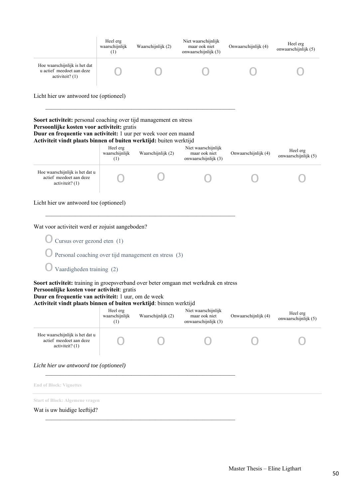|                                                                                                                                        | Heel erg<br>waarschijnlijk<br>(1) | Waarschijnlijk (2) | Niet waarschijnlijk<br>maar ook niet<br>onwaarschijnlijk (3) | Onwaarschijnlijk (4) | Heel erg<br>onwaarschijnlijk (5) |
|----------------------------------------------------------------------------------------------------------------------------------------|-----------------------------------|--------------------|--------------------------------------------------------------|----------------------|----------------------------------|
| Hoe waarschijnlijk is het dat<br>u actief meedoet aan deze<br>$\arctiviteit?$ (1)                                                      |                                   |                    |                                                              |                      |                                  |
| Licht hier uw antwoord toe (optioneel)                                                                                                 |                                   |                    |                                                              |                      |                                  |
| <b>Soort activiteit:</b> personal coaching over tijd management en stress<br>Persoonlijke kosten voor activiteit: gratis               |                                   |                    |                                                              |                      |                                  |
| Duur en frequentie van activiteit: 1 uur per week voor een maand<br>Activiteit vindt plaats binnen of buiten werktijd: buiten werktijd |                                   |                    |                                                              |                      |                                  |
|                                                                                                                                        | Heel erg<br>waarschijnlijk<br>(1) | Waarschijnlijk (2) | Niet waarschijnlijk<br>maar ook niet<br>onwaarschijnlijk (3) | Onwaarschijnlijk (4) | Heel erg<br>onwaarschijnlijk (5) |
| Hoe waarschijnlijk is het dat u<br>actief meedoet aan deze<br>$\arctiviteit?$ (1)                                                      |                                   |                    |                                                              |                      |                                  |

Licht hier uw antwoord toe (optioneel)

Wat voor activiteit werd er zojuist aangeboden?

 $\bigcirc$  Cursus over gezond eten (1)

 $\bigcirc$  Personal coaching over tijd management en stress (3)

 $\bigcirc$  Vaardigheden training (2)

**Soort activiteit:** training in groepsverband over beter omgaan met werkdruk en stress **Persoonlijke kosten voor activiteit**: gratis

 $\mathcal{L}_\text{max} = \frac{1}{2} \sum_{i=1}^n \mathcal{L}_\text{max}(\mathbf{z}_i - \mathbf{z}_i)$ 

## **Duur en frequentie van activiteit:** 1 uur, om de week

**Activiteit vindt plaats binnen of buiten werktijd**: binnen werktijd

|                                                                                 | Heel erg<br>waarschijnlijk<br>(1) | Waarschijnlijk (2) | Niet waarschijnlijk<br>maar ook niet<br>onwaarschijnlijk (3) | Onwaarschijnlijk (4) | Heel erg<br>onwaarschijnlijk (5) |  |
|---------------------------------------------------------------------------------|-----------------------------------|--------------------|--------------------------------------------------------------|----------------------|----------------------------------|--|
| Hoe waarschijnlijk is het dat u<br>actief meedoet aan deze<br>activiteit? $(1)$ |                                   |                    |                                                              |                      |                                  |  |
| Licht hier uw antwoord toe (optioneel)                                          |                                   |                    |                                                              |                      |                                  |  |

**End of Block: Vignettes** 

**Start of Block: Algemene vragen** 

Wat is uw huidige leeftijd?